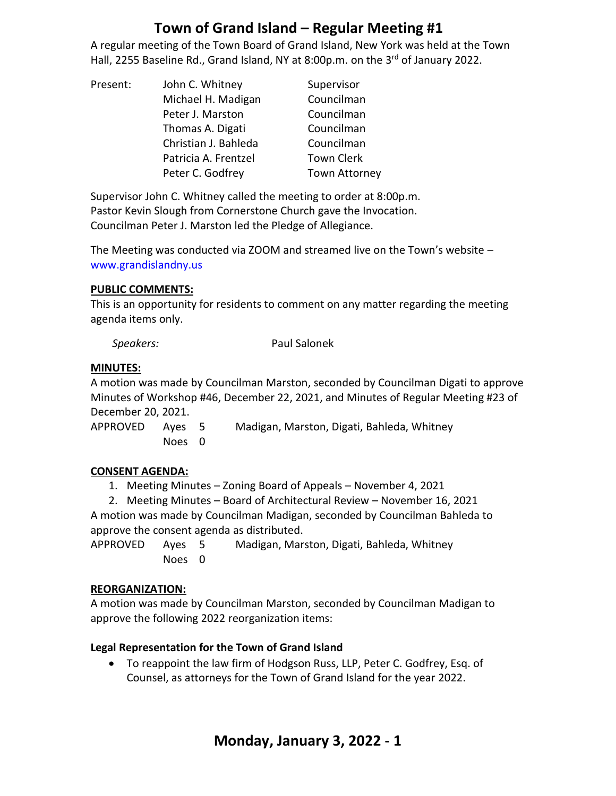A regular meeting of the Town Board of Grand Island, New York was held at the Town Hall, 2255 Baseline Rd., Grand Island, NY at 8:00p.m. on the 3<sup>rd</sup> of January 2022.

| Present: | John C. Whitney      | Supervisor           |
|----------|----------------------|----------------------|
|          | Michael H. Madigan   | Councilman           |
|          | Peter J. Marston     | Councilman           |
|          | Thomas A. Digati     | Councilman           |
|          | Christian J. Bahleda | Councilman           |
|          | Patricia A. Frentzel | <b>Town Clerk</b>    |
|          | Peter C. Godfrey     | <b>Town Attorney</b> |

Supervisor John C. Whitney called the meeting to order at 8:00p.m. Pastor Kevin Slough from Cornerstone Church gave the Invocation. Councilman Peter J. Marston led the Pledge of Allegiance.

The Meeting was conducted via ZOOM and streamed live on the Town's website – [www.grandislandny.us](http://www.grandislandny.us/)

#### **PUBLIC COMMENTS:**

This is an opportunity for residents to comment on any matter regarding the meeting agenda items only.

| Speakers: | Paul Salonek |
|-----------|--------------|
|           |              |

#### **MINUTES:**

A motion was made by Councilman Marston, seconded by Councilman Digati to approve Minutes of Workshop #46, December 22, 2021, and Minutes of Regular Meeting #23 of December 20, 2021.

Noes 0

APPROVED Ayes 5 Madigan, Marston, Digati, Bahleda, Whitney

### **CONSENT AGENDA:**

1. Meeting Minutes – Zoning Board of Appeals – November 4, 2021

2. Meeting Minutes – Board of Architectural Review – November 16, 2021 A motion was made by Councilman Madigan, seconded by Councilman Bahleda to approve the consent agenda as distributed.

APPROVED Ayes 5 Madigan, Marston, Digati, Bahleda, Whitney Noes 0

### **REORGANIZATION:**

A motion was made by Councilman Marston, seconded by Councilman Madigan to approve the following 2022 reorganization items:

### **Legal Representation for the Town of Grand Island**

• To reappoint the law firm of Hodgson Russ, LLP, Peter C. Godfrey, Esq. of Counsel, as attorneys for the Town of Grand Island for the year 2022.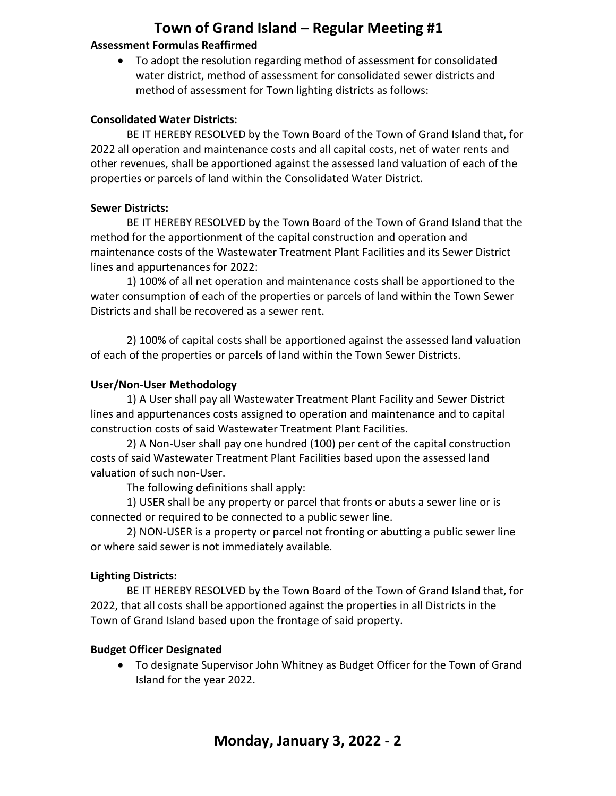#### **Assessment Formulas Reaffirmed**

• To adopt the resolution regarding method of assessment for consolidated water district, method of assessment for consolidated sewer districts and method of assessment for Town lighting districts as follows:

#### **Consolidated Water Districts:**

BE IT HEREBY RESOLVED by the Town Board of the Town of Grand Island that, for 2022 all operation and maintenance costs and all capital costs, net of water rents and other revenues, shall be apportioned against the assessed land valuation of each of the properties or parcels of land within the Consolidated Water District.

#### **Sewer Districts:**

BE IT HEREBY RESOLVED by the Town Board of the Town of Grand Island that the method for the apportionment of the capital construction and operation and maintenance costs of the Wastewater Treatment Plant Facilities and its Sewer District lines and appurtenances for 2022:

 1) 100% of all net operation and maintenance costs shall be apportioned to the water consumption of each of the properties or parcels of land within the Town Sewer Districts and shall be recovered as a sewer rent.

 2) 100% of capital costs shall be apportioned against the assessed land valuation of each of the properties or parcels of land within the Town Sewer Districts.

#### **User/Non-User Methodology**

 1) A User shall pay all Wastewater Treatment Plant Facility and Sewer District lines and appurtenances costs assigned to operation and maintenance and to capital construction costs of said Wastewater Treatment Plant Facilities.

 2) A Non-User shall pay one hundred (100) per cent of the capital construction costs of said Wastewater Treatment Plant Facilities based upon the assessed land valuation of such non-User.

The following definitions shall apply:

 1) USER shall be any property or parcel that fronts or abuts a sewer line or is connected or required to be connected to a public sewer line.

 2) NON-USER is a property or parcel not fronting or abutting a public sewer line or where said sewer is not immediately available.

#### **Lighting Districts:**

 BE IT HEREBY RESOLVED by the Town Board of the Town of Grand Island that, for 2022, that all costs shall be apportioned against the properties in all Districts in the Town of Grand Island based upon the frontage of said property.

#### **Budget Officer Designated**

• To designate Supervisor John Whitney as Budget Officer for the Town of Grand Island for the year 2022.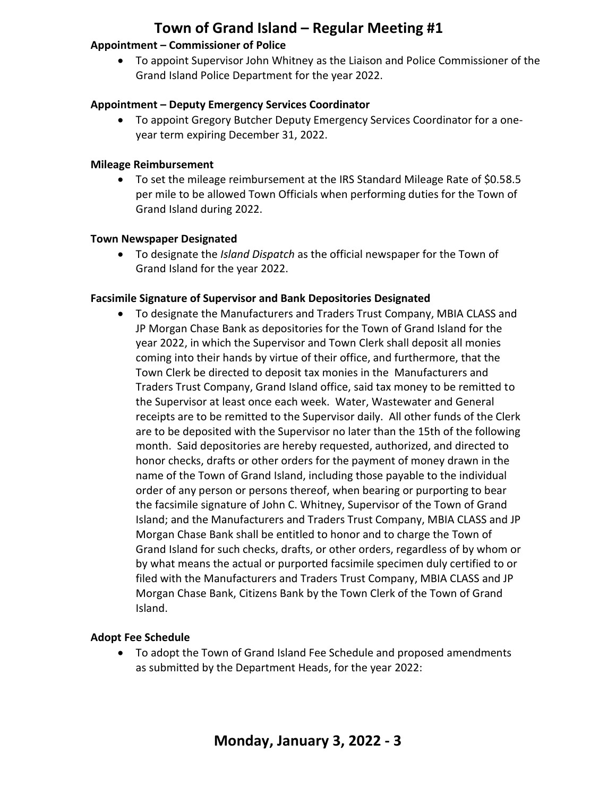#### **Appointment – Commissioner of Police**

• To appoint Supervisor John Whitney as the Liaison and Police Commissioner of the Grand Island Police Department for the year 2022.

#### **Appointment – Deputy Emergency Services Coordinator**

• To appoint Gregory Butcher Deputy Emergency Services Coordinator for a oneyear term expiring December 31, 2022.

#### **Mileage Reimbursement**

• To set the mileage reimbursement at the IRS Standard Mileage Rate of \$0.58.5 per mile to be allowed Town Officials when performing duties for the Town of Grand Island during 2022.

#### **Town Newspaper Designated**

• To designate the *Island Dispatch* as the official newspaper for the Town of Grand Island for the year 2022.

#### **Facsimile Signature of Supervisor and Bank Depositories Designated**

• To designate the Manufacturers and Traders Trust Company, MBIA CLASS and JP Morgan Chase Bank as depositories for the Town of Grand Island for the year 2022, in which the Supervisor and Town Clerk shall deposit all monies coming into their hands by virtue of their office, and furthermore, that the Town Clerk be directed to deposit tax monies in the Manufacturers and Traders Trust Company, Grand Island office, said tax money to be remitted to the Supervisor at least once each week. Water, Wastewater and General receipts are to be remitted to the Supervisor daily. All other funds of the Clerk are to be deposited with the Supervisor no later than the 15th of the following month. Said depositories are hereby requested, authorized, and directed to honor checks, drafts or other orders for the payment of money drawn in the name of the Town of Grand Island, including those payable to the individual order of any person or persons thereof, when bearing or purporting to bear the facsimile signature of John C. Whitney, Supervisor of the Town of Grand Island; and the Manufacturers and Traders Trust Company, MBIA CLASS and JP Morgan Chase Bank shall be entitled to honor and to charge the Town of Grand Island for such checks, drafts, or other orders, regardless of by whom or by what means the actual or purported facsimile specimen duly certified to or filed with the Manufacturers and Traders Trust Company, MBIA CLASS and JP Morgan Chase Bank, Citizens Bank by the Town Clerk of the Town of Grand Island.

#### **Adopt Fee Schedule**

• To adopt the Town of Grand Island Fee Schedule and proposed amendments as submitted by the Department Heads, for the year 2022: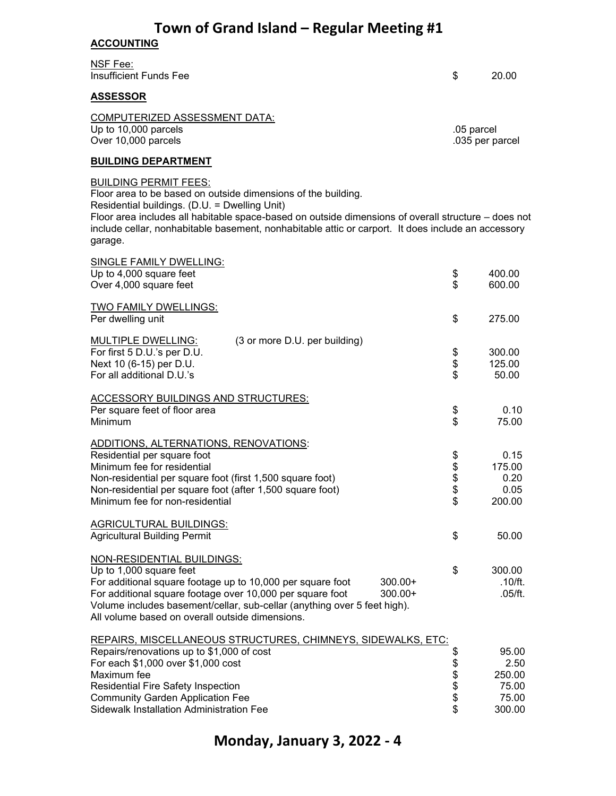#### **ACCOUNTING**

NSF Fee: Insufficient Funds Fee \$ 20.00

#### **ASSESSOR**

COMPUTERIZED ASSESSMENT DATA: Up to 10,000 parcels .05 parcel Over  $10,000$  parcels

#### **BUILDING DEPARTMENT**

#### BUILDING PERMIT FEES:

Floor area to be based on outside dimensions of the building. Residential buildings. (D.U. = Dwelling Unit)

Floor area includes all habitable space-based on outside dimensions of overall structure – does not include cellar, nonhabitable basement, nonhabitable attic or carport. It does include an accessory garage.

| SINGLE FAMILY DWELLING:                                                  |            |         |
|--------------------------------------------------------------------------|------------|---------|
| Up to 4,000 square feet                                                  | \$         | 400.00  |
| Over 4,000 square feet                                                   | \$         | 600.00  |
| <b>TWO FAMILY DWELLINGS:</b>                                             |            |         |
| Per dwelling unit                                                        | \$         | 275.00  |
| <b>MULTIPLE DWELLING:</b><br>(3 or more D.U. per building)               |            |         |
| For first 5 D.U.'s per D.U.                                              |            | 300.00  |
| Next 10 (6-15) per D.U.                                                  | \$<br>\$   | 125.00  |
| For all additional D.U.'s                                                |            | 50.00   |
| <b>ACCESSORY BUILDINGS AND STRUCTURES:</b>                               |            |         |
| Per square feet of floor area                                            | \$         | 0.10    |
| Minimum                                                                  | \$         | 75.00   |
| ADDITIONS, ALTERNATIONS, RENOVATIONS:                                    |            |         |
| Residential per square foot                                              |            | 0.15    |
| Minimum fee for residential                                              |            | 175.00  |
| Non-residential per square foot (first 1,500 square foot)                | \$\$\$\$\$ | 0.20    |
| Non-residential per square foot (after 1,500 square foot)                |            | 0.05    |
| Minimum fee for non-residential                                          |            | 200.00  |
| <b>AGRICULTURAL BUILDINGS:</b>                                           |            |         |
| <b>Agricultural Building Permit</b>                                      | \$         | 50.00   |
| NON-RESIDENTIAL BUILDINGS:                                               |            |         |
| Up to 1,000 square feet                                                  | \$         | 300.00  |
| For additional square footage up to 10,000 per square foot<br>300.00+    |            | .10/ft. |
| For additional square footage over 10,000 per square foot<br>$300.00+$   |            | .05/ft. |
| Volume includes basement/cellar, sub-cellar (anything over 5 feet high). |            |         |
| All volume based on overall outside dimensions.                          |            |         |
| REPAIRS, MISCELLANEOUS STRUCTURES, CHIMNEYS, SIDEWALKS, ETC:             |            |         |
| Repairs/renovations up to \$1,000 of cost                                | \$         | 95.00   |
| For each \$1,000 over \$1,000 cost                                       | \$\$\$\$\$ | 2.50    |
| Maximum fee                                                              |            | 250.00  |
| <b>Residential Fire Safety Inspection</b>                                |            | 75.00   |
| <b>Community Garden Application Fee</b>                                  |            | 75.00   |
| <b>Sidewalk Installation Administration Fee</b>                          |            | 300.00  |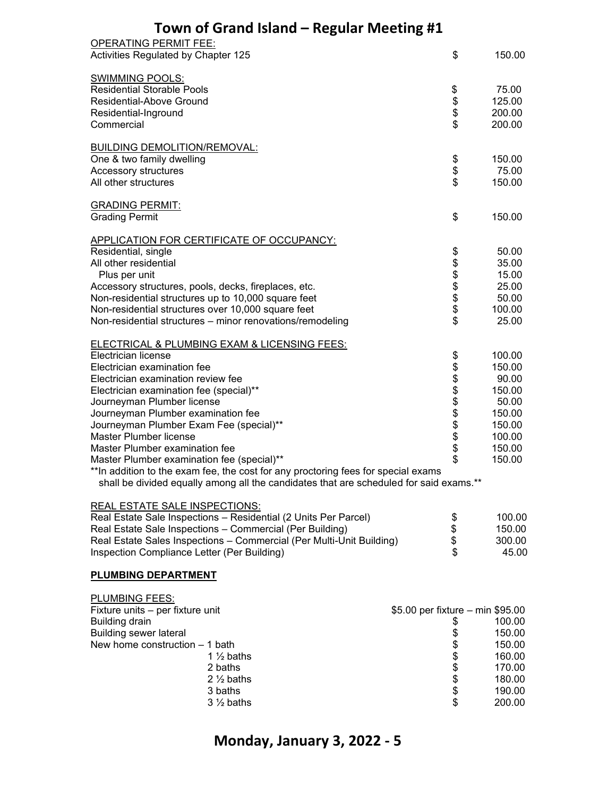| <b>OPERATING PERMIT FEE:</b><br>Activities Regulated by Chapter 125                    | \$                               | 150.00 |
|----------------------------------------------------------------------------------------|----------------------------------|--------|
|                                                                                        |                                  |        |
| <b>SWIMMING POOLS:</b>                                                                 |                                  |        |
| <b>Residential Storable Pools</b>                                                      |                                  | 75.00  |
| Residential-Above Ground                                                               |                                  | 125.00 |
| Residential-Inground                                                                   | \$\$\$\$                         | 200.00 |
| Commercial                                                                             |                                  | 200.00 |
| <b>BUILDING DEMOLITION/REMOVAL:</b>                                                    |                                  |        |
| One & two family dwelling                                                              | \$                               | 150.00 |
| Accessory structures                                                                   | \$                               | 75.00  |
| All other structures                                                                   | \$                               | 150.00 |
| <b>GRADING PERMIT:</b>                                                                 |                                  |        |
| <b>Grading Permit</b>                                                                  | \$                               | 150.00 |
|                                                                                        |                                  |        |
| APPLICATION FOR CERTIFICATE OF OCCUPANCY:                                              |                                  |        |
| Residential, single                                                                    |                                  | 50.00  |
| All other residential                                                                  |                                  | 35.00  |
| Plus per unit                                                                          | \$\$\$\$\$\$\$                   | 15.00  |
| Accessory structures, pools, decks, fireplaces, etc.                                   |                                  | 25.00  |
| Non-residential structures up to 10,000 square feet                                    |                                  | 50.00  |
| Non-residential structures over 10,000 square feet                                     |                                  | 100.00 |
| Non-residential structures - minor renovations/remodeling                              | \$                               | 25.00  |
| <b>ELECTRICAL &amp; PLUMBING EXAM &amp; LICENSING FEES:</b>                            |                                  |        |
| Electrician license                                                                    | \$                               | 100.00 |
| Electrician examination fee                                                            | <b>888888888</b>                 | 150.00 |
| Electrician examination review fee                                                     |                                  | 90.00  |
| Electrician examination fee (special)**                                                |                                  | 150.00 |
| Journeyman Plumber license                                                             |                                  | 50.00  |
| Journeyman Plumber examination fee                                                     |                                  | 150.00 |
| Journeyman Plumber Exam Fee (special)**                                                |                                  | 150.00 |
| Master Plumber license                                                                 |                                  | 100.00 |
| Master Plumber examination fee                                                         |                                  | 150.00 |
| Master Plumber examination fee (special)**                                             |                                  | 150.00 |
| ** In addition to the exam fee, the cost for any proctoring fees for special exams     |                                  |        |
| shall be divided equally among all the candidates that are scheduled for said exams.** |                                  |        |
| <b>REAL ESTATE SALE INSPECTIONS:</b>                                                   |                                  |        |
| Real Estate Sale Inspections - Residential (2 Units Per Parcel)                        |                                  | 100.00 |
| Real Estate Sale Inspections - Commercial (Per Building)                               | \$\$\$\$                         | 150.00 |
| Real Estate Sales Inspections - Commercial (Per Multi-Unit Building)                   |                                  | 300.00 |
| Inspection Compliance Letter (Per Building)                                            |                                  | 45.00  |
| <b>PLUMBING DEPARTMENT</b>                                                             |                                  |        |
| PLUMBING FEES:                                                                         |                                  |        |
| Fixture units - per fixture unit                                                       | \$5.00 per fixture – min \$95.00 |        |
| <b>Building drain</b>                                                                  |                                  | 100.00 |
| <b>Building sewer lateral</b>                                                          |                                  | 150.00 |
| New home construction - 1 bath                                                         |                                  | 150.00 |
| 1 $\frac{1}{2}$ baths                                                                  |                                  | 160.00 |
| 2 baths                                                                                |                                  | 170.00 |
| $2\frac{1}{2}$ baths                                                                   | 8888888                          | 180.00 |
| 3 baths                                                                                |                                  | 190.00 |

 $3\frac{1}{2}$  baths  $3\frac{1}{2}$  baths  $3\frac{1}{2}$  baths  $3\frac{1}{2}$  baths  $3\frac{1}{2}$  baths  $3\frac{1}{2}$  baths  $3\frac{1}{2}$  baths  $3\frac{1}{2}$  baths  $3\frac{1}{2}$  baths  $3\frac{1}{2}$  baths  $3\frac{1}{2}$  baths  $3\frac{1}{2}$  baths  $3\frac{1}{2}$  baths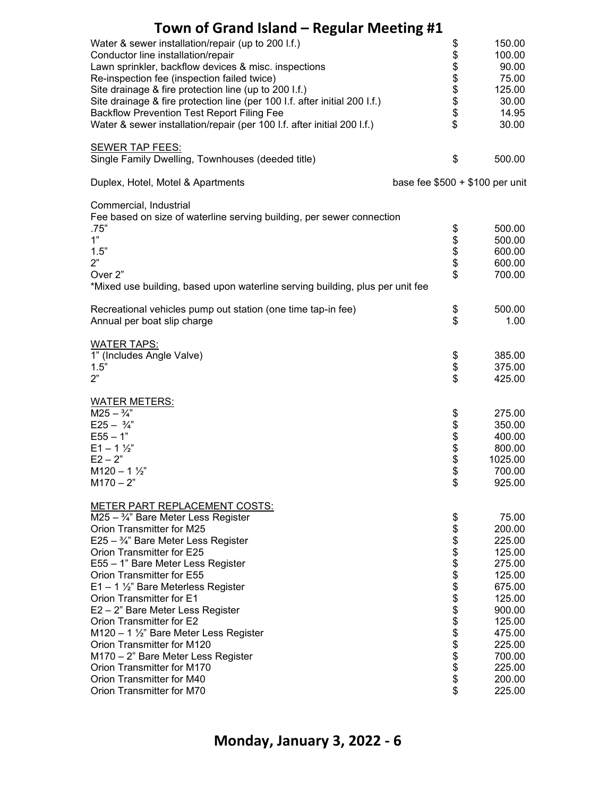| Town of Grand Island – Regular Meeting #1                                                                                       |                                 |                  |
|---------------------------------------------------------------------------------------------------------------------------------|---------------------------------|------------------|
| Water & sewer installation/repair (up to 200 l.f.)<br>Conductor line installation/repair                                        | \$                              | 150.00<br>100.00 |
| Lawn sprinkler, backflow devices & misc. inspections                                                                            | <b>8888888</b>                  | 90.00            |
| Re-inspection fee (inspection failed twice)                                                                                     |                                 | 75.00            |
| Site drainage & fire protection line (up to 200 I.f.)                                                                           |                                 | 125.00           |
| Site drainage & fire protection line (per 100 I.f. after initial 200 I.f.)<br><b>Backflow Prevention Test Report Filing Fee</b> |                                 | 30.00<br>14.95   |
| Water & sewer installation/repair (per 100 l.f. after initial 200 l.f.)                                                         |                                 | 30.00            |
| SEWER TAP FEES:                                                                                                                 |                                 |                  |
| Single Family Dwelling, Townhouses (deeded title)                                                                               | \$                              | 500.00           |
| Duplex, Hotel, Motel & Apartments                                                                                               | base fee $$500 + $100$ per unit |                  |
| Commercial, Industrial                                                                                                          |                                 |                  |
| Fee based on size of waterline serving building, per sewer connection<br>.75"                                                   |                                 | 500.00           |
| 1"                                                                                                                              | \$\$\$\$\$                      | 500.00           |
| 1.5"                                                                                                                            |                                 | 600.00           |
| 2"                                                                                                                              |                                 | 600.00           |
| Over <sub>2</sub> "<br>*Mixed use building, based upon waterline serving building, plus per unit fee                            |                                 | 700.00           |
|                                                                                                                                 |                                 |                  |
| Recreational vehicles pump out station (one time tap-in fee)<br>Annual per boat slip charge                                     | \$<br>\$                        | 500.00<br>1.00   |
| <b>WATER TAPS:</b>                                                                                                              |                                 |                  |
| 1" (Includes Angle Valve)                                                                                                       | \$                              | 385.00           |
| 1.5"                                                                                                                            | \$                              | 375.00           |
| 2"                                                                                                                              | \$                              | 425.00           |
| <b>WATER METERS:</b>                                                                                                            |                                 |                  |
| $M25 - \frac{3}{4}$<br>$E25 - \frac{3}{4}$                                                                                      |                                 | 275.00           |
| $E55 - 1"$                                                                                                                      | \$\$\$\$\$                      | 350.00<br>400.00 |
| $E1 - 1 \frac{1}{2}$                                                                                                            |                                 | 800.00           |
| $E2 - 2"$                                                                                                                       |                                 | 1025.00          |
| $M120 - 1\frac{1}{2}$                                                                                                           | Φ                               | 700.00           |
| $M170 - 2"$                                                                                                                     | \$                              | 925.00           |
| <b>METER PART REPLACEMENT COSTS:</b>                                                                                            |                                 |                  |
| M25 - 3/4" Bare Meter Less Register<br>Orion Transmitter for M25                                                                | \$                              | 75.00            |
| E25 - 3/4" Bare Meter Less Register                                                                                             |                                 | 200.00<br>225.00 |
| Orion Transmitter for E25                                                                                                       |                                 | 125.00           |
| E55 - 1" Bare Meter Less Register                                                                                               |                                 | 275.00           |
| Orion Transmitter for E55                                                                                                       |                                 | 125.00           |
| $E1 - 1$ 1/2" Bare Meterless Register                                                                                           |                                 | 675.00           |
| Orion Transmitter for E1                                                                                                        |                                 | 125.00           |
| E2 - 2" Bare Meter Less Register                                                                                                |                                 | 900.00           |
| Orion Transmitter for E2<br>M120 - 1 1/2" Bare Meter Less Register                                                              |                                 | 125.00<br>475.00 |
| Orion Transmitter for M120                                                                                                      |                                 | 225.00           |
| M170 - 2" Bare Meter Less Register                                                                                              |                                 | 700.00           |
| Orion Transmitter for M170                                                                                                      |                                 | 225.00           |
| Orion Transmitter for M40                                                                                                       | ୫୫୫୫୫୫୫୫୫୫୫୫୫୫୫                 | 200.00           |
| Orion Transmitter for M70                                                                                                       |                                 | 225.00           |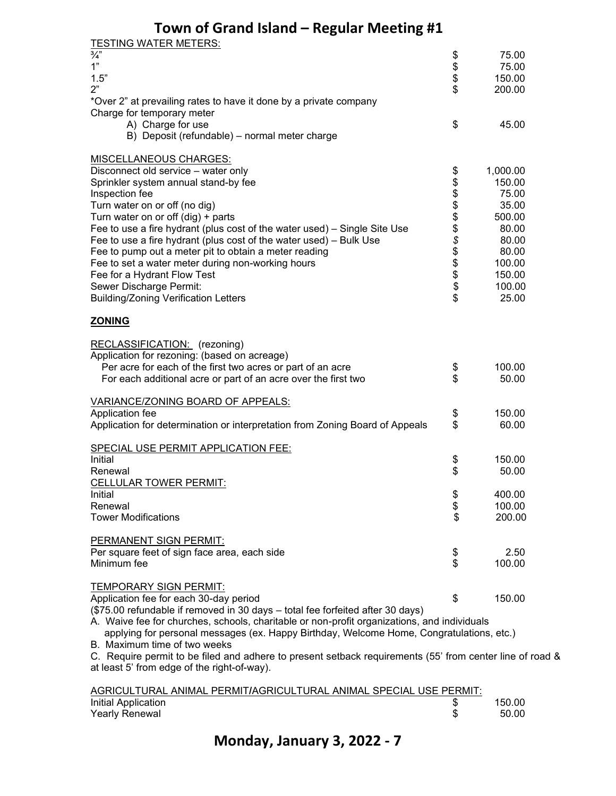| <b>TESTING WATER METERS:</b>                                                                             |             |          |  |
|----------------------------------------------------------------------------------------------------------|-------------|----------|--|
| $\frac{3}{4}$                                                                                            | \$          | 75.00    |  |
| 1"                                                                                                       | \$          | 75.00    |  |
| 1.5"                                                                                                     |             | 150.00   |  |
| 2"                                                                                                       | \$          | 200.00   |  |
| *Over 2" at prevailing rates to have it done by a private company                                        |             |          |  |
| Charge for temporary meter                                                                               |             |          |  |
| A) Charge for use                                                                                        | \$          | 45.00    |  |
| B) Deposit (refundable) - normal meter charge                                                            |             |          |  |
| <b>MISCELLANEOUS CHARGES:</b>                                                                            |             |          |  |
| Disconnect old service - water only                                                                      | \$          | 1,000.00 |  |
| Sprinkler system annual stand-by fee                                                                     |             | 150.00   |  |
| Inspection fee                                                                                           |             | 75.00    |  |
| Turn water on or off (no dig)                                                                            |             | 35.00    |  |
| Turn water on or off $(dig) + parts$                                                                     |             | 500.00   |  |
| Fee to use a fire hydrant (plus cost of the water used) - Single Site Use                                |             | 80.00    |  |
| Fee to use a fire hydrant (plus cost of the water used) - Bulk Use                                       |             | 80.00    |  |
| Fee to pump out a meter pit to obtain a meter reading                                                    |             | 80.00    |  |
| Fee to set a water meter during non-working hours                                                        |             | 100.00   |  |
| Fee for a Hydrant Flow Test                                                                              |             | 150.00   |  |
| Sewer Discharge Permit:                                                                                  |             | 100.00   |  |
| <b>Building/Zoning Verification Letters</b>                                                              | ୫୫୫୫୫୫ ୧୫୫୫ | 25.00    |  |
|                                                                                                          |             |          |  |
| <b>ZONING</b>                                                                                            |             |          |  |
| RECLASSIFICATION: (rezoning)                                                                             |             |          |  |
| Application for rezoning: (based on acreage)                                                             |             |          |  |
| Per acre for each of the first two acres or part of an acre                                              | \$          | 100.00   |  |
| For each additional acre or part of an acre over the first two                                           | \$          | 50.00    |  |
|                                                                                                          |             |          |  |
| <b>VARIANCE/ZONING BOARD OF APPEALS:</b>                                                                 |             |          |  |
| Application fee                                                                                          | \$          | 150.00   |  |
| Application for determination or interpretation from Zoning Board of Appeals                             | \$          | 60.00    |  |
|                                                                                                          |             |          |  |
| SPECIAL USE PERMIT APPLICATION FEE:<br>Initial                                                           |             | 150.00   |  |
| Renewal                                                                                                  | \$<br>\$    | 50.00    |  |
| CELLULAR TOWER PERMIT:                                                                                   |             |          |  |
| Initial                                                                                                  | \$          | 400.00   |  |
| Renewal                                                                                                  | \$          | 100.00   |  |
| <b>Tower Modifications</b>                                                                               | \$          | 200.00   |  |
|                                                                                                          |             |          |  |
| PERMANENT SIGN PERMIT:                                                                                   |             |          |  |
| Per square feet of sign face area, each side                                                             | \$          | 2.50     |  |
| Minimum fee                                                                                              | \$          | 100.00   |  |
|                                                                                                          |             |          |  |
| TEMPORARY SIGN PERMIT:                                                                                   |             |          |  |
| Application fee for each 30-day period                                                                   | \$          | 150.00   |  |
| (\$75.00 refundable if removed in 30 days - total fee forfeited after 30 days)                           |             |          |  |
| A. Waive fee for churches, schools, charitable or non-profit organizations, and individuals              |             |          |  |
| applying for personal messages (ex. Happy Birthday, Welcome Home, Congratulations, etc.)                 |             |          |  |
| B. Maximum time of two weeks                                                                             |             |          |  |
| C. Require permit to be filed and adhere to present setback requirements (55' from center line of road & |             |          |  |
| at least 5' from edge of the right-of-way).                                                              |             |          |  |

| AGRICULTURAL ANIMAL PERMIT/AGRICULTURAL ANIMAL SPECIAL USE PERMIT: |        |
|--------------------------------------------------------------------|--------|
| Initial Application                                                | 150.00 |
| Yearly Renewal                                                     | 50.00  |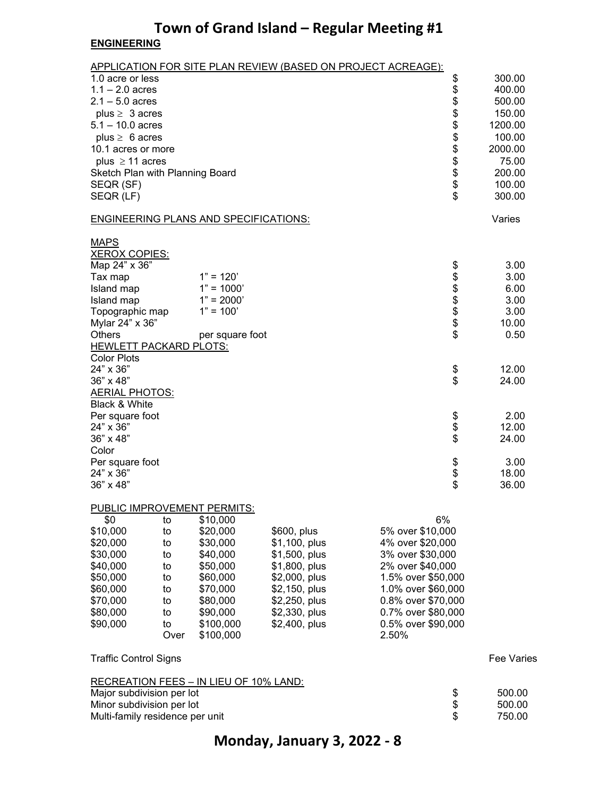### **Town of Grand Island – Regular Meeting #1 ENGINEERING**

APPLICATION FOR SITE PLAN REVIEW (BASED ON PROJECT ACREAGE):

| 1.0 acre or less<br>$1.1 - 2.0$ acres<br>$2.1 - 5.0$ acres<br>plus $\geq 3$ acres<br>$5.1 - 10.0$ acres<br>plus $\geq 6$ acres<br>10.1 acres or more<br>plus $\geq$ 11 acres<br>Sketch Plan with Planning Board<br>SEQR (SF)<br>SEQR (LF)                                                                                                                                        |                                                                                                                                    |                                                                                                                                                     |                                                                                                                                                                                                           | \$<br>\$<br>\$<br>\$<br>\$<br>\$<br>\$<br>\$<br>\$<br>$\ddot{\$}$<br>\$    | 300.00<br>400.00<br>500.00<br>150.00<br>1200.00<br>100.00<br>2000.00<br>75.00<br>200.00<br>100.00<br>300.00                 |
|----------------------------------------------------------------------------------------------------------------------------------------------------------------------------------------------------------------------------------------------------------------------------------------------------------------------------------------------------------------------------------|------------------------------------------------------------------------------------------------------------------------------------|-----------------------------------------------------------------------------------------------------------------------------------------------------|-----------------------------------------------------------------------------------------------------------------------------------------------------------------------------------------------------------|----------------------------------------------------------------------------|-----------------------------------------------------------------------------------------------------------------------------|
| <b>ENGINEERING PLANS AND SPECIFICATIONS:</b>                                                                                                                                                                                                                                                                                                                                     |                                                                                                                                    |                                                                                                                                                     |                                                                                                                                                                                                           |                                                                            | Varies                                                                                                                      |
| <b>MAPS</b><br><b>XEROX COPIES:</b><br>Map 24" x 36"<br>Tax map<br>Island map<br>Island map<br>Topographic map<br>Mylar 24" x 36"<br><b>Others</b><br><b>HEWLETT PACKARD PLOTS:</b><br><b>Color Plots</b><br>24" x 36"<br>36" x 48"<br><b>AERIAL PHOTOS:</b><br>Black & White<br>Per square foot<br>24" x 36"<br>36" x 48"<br>Color<br>Per square foot<br>24" x 36"<br>36" x 48" | $1" = 120'$<br>$1" = 1000'$<br>$1" = 2000'$<br>$1" = 100'$<br>per square foot                                                      |                                                                                                                                                     |                                                                                                                                                                                                           | \$<br>\$<br>\$\$\$\$<br>\$<br>\$<br>\$<br>\$<br>\$<br>\$<br>\$<br>\$<br>\$ | 3.00<br>3.00<br>6.00<br>3.00<br>3.00<br>10.00<br>0.50<br>12.00<br>24.00<br>2.00<br>12.00<br>24.00<br>3.00<br>18.00<br>36.00 |
| <b>PUBLIC IMPROVEMENT PERMITS:</b>                                                                                                                                                                                                                                                                                                                                               |                                                                                                                                    |                                                                                                                                                     |                                                                                                                                                                                                           |                                                                            |                                                                                                                             |
| \$0<br>to<br>\$10,000<br>to<br>\$20,000<br>to<br>\$30,000<br>to<br>\$40,000<br>to<br>\$50,000<br>to<br>\$60,000<br>to<br>\$70,000<br>to<br>\$80,000<br>to<br>\$90,000<br>to<br>Over                                                                                                                                                                                              | \$10,000<br>\$20,000<br>\$30,000<br>\$40,000<br>\$50,000<br>\$60,000<br>\$70,000<br>\$80,000<br>\$90,000<br>\$100,000<br>\$100,000 | \$600, plus<br>\$1,100, plus<br>\$1,500, plus<br>\$1,800, plus<br>\$2,000, plus<br>\$2,150, plus<br>\$2,250, plus<br>\$2,330, plus<br>\$2,400, plus | 6%<br>5% over \$10,000<br>4% over \$20,000<br>3% over \$30,000<br>2% over \$40,000<br>1.5% over \$50,000<br>1.0% over \$60,000<br>0.8% over \$70,000<br>0.7% over \$80,000<br>0.5% over \$90,000<br>2.50% |                                                                            |                                                                                                                             |
| <b>Traffic Control Signs</b>                                                                                                                                                                                                                                                                                                                                                     |                                                                                                                                    |                                                                                                                                                     |                                                                                                                                                                                                           |                                                                            | <b>Fee Varies</b>                                                                                                           |
| <b>RECREATION FEES - IN LIEU OF 10% LAND:</b><br>Major subdivision per lot<br>Minor subdivision per lot<br>Multi-family residence per unit                                                                                                                                                                                                                                       |                                                                                                                                    |                                                                                                                                                     |                                                                                                                                                                                                           | \$\$<br>\$                                                                 | 500.00<br>500.00<br>750.00                                                                                                  |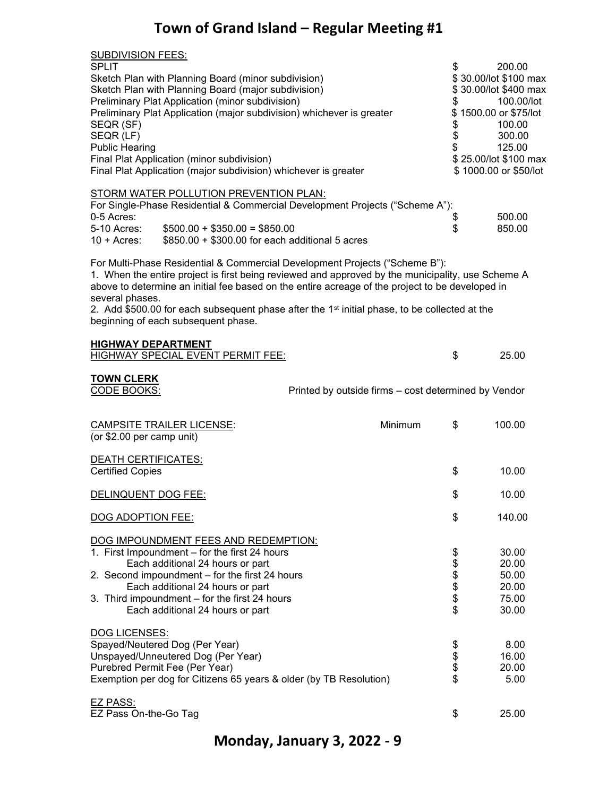| <b>SUBDIVISION FEES:</b><br><b>SPLIT</b><br>Sketch Plan with Planning Board (minor subdivision)<br>Sketch Plan with Planning Board (major subdivision)<br>Preliminary Plat Application (minor subdivision)<br>Preliminary Plat Application (major subdivision) whichever is greater<br>SEQR (SF)<br>SEQR (LF)<br><b>Public Hearing</b><br>Final Plat Application (minor subdivision)<br>Final Plat Application (major subdivision) whichever is greater<br>STORM WATER POLLUTION PREVENTION PLAN: | \$<br>\$<br>\$<br>\$<br>\$ | 200.00<br>\$30.00/lot \$100 max<br>\$30.00/lot \$400 max<br>100.00/lot<br>\$1500.00 or \$75/lot<br>100.00<br>300.00<br>125.00<br>\$25.00/lot \$100 max<br>\$1000.00 or \$50/lot |
|---------------------------------------------------------------------------------------------------------------------------------------------------------------------------------------------------------------------------------------------------------------------------------------------------------------------------------------------------------------------------------------------------------------------------------------------------------------------------------------------------|----------------------------|---------------------------------------------------------------------------------------------------------------------------------------------------------------------------------|
| For Single-Phase Residential & Commercial Development Projects ("Scheme A"):<br>0-5 Acres:<br>5-10 Acres:<br>$$500.00 + $350.00 = $850.00$<br>\$850.00 + \$300.00 for each additional 5 acres<br>$10 +$ Acres:                                                                                                                                                                                                                                                                                    | \$<br>\$                   | 500.00<br>850.00                                                                                                                                                                |
| For Multi-Phase Residential & Commercial Development Projects ("Scheme B"):<br>1. When the entire project is first being reviewed and approved by the municipality, use Scheme A<br>above to determine an initial fee based on the entire acreage of the project to be developed in<br>several phases.<br>2. Add \$500.00 for each subsequent phase after the $1st$ initial phase, to be collected at the<br>beginning of each subsequent phase.<br><b>HIGHWAY DEPARTMENT</b>                     |                            |                                                                                                                                                                                 |
| <b>HIGHWAY SPECIAL EVENT PERMIT FEE:</b>                                                                                                                                                                                                                                                                                                                                                                                                                                                          | \$                         | 25.00                                                                                                                                                                           |
| <u>TOWN CLERK</u><br><b>CODE BOOKS:</b><br>Printed by outside firms - cost determined by Vendor                                                                                                                                                                                                                                                                                                                                                                                                   |                            |                                                                                                                                                                                 |
| Minimum<br><b>CAMPSITE TRAILER LICENSE:</b><br>(or \$2.00 per camp unit)                                                                                                                                                                                                                                                                                                                                                                                                                          | \$                         | 100.00                                                                                                                                                                          |
| <u>DEATH CERTIFICATES:</u><br><b>Certified Copies</b>                                                                                                                                                                                                                                                                                                                                                                                                                                             | \$                         | 10.00                                                                                                                                                                           |
| DELINQUENT DOG FEE:                                                                                                                                                                                                                                                                                                                                                                                                                                                                               | \$                         | 10.00                                                                                                                                                                           |
| DOG ADOPTION FEE:                                                                                                                                                                                                                                                                                                                                                                                                                                                                                 | \$                         | 140.00                                                                                                                                                                          |
| DOG IMPOUNDMENT FEES AND REDEMPTION:<br>1. First Impoundment - for the first 24 hours<br>Each additional 24 hours or part<br>2. Second impoundment - for the first 24 hours<br>Each additional 24 hours or part<br>3. Third impoundment - for the first 24 hours<br>Each additional 24 hours or part                                                                                                                                                                                              | \$<br><b>88888</b>         | 30.00<br>20.00<br>50.00<br>20.00<br>75.00<br>30.00                                                                                                                              |
| DOG LICENSES:<br>Spayed/Neutered Dog (Per Year)<br>Unspayed/Unneutered Dog (Per Year)<br>Purebred Permit Fee (Per Year)<br>Exemption per dog for Citizens 65 years & older (by TB Resolution)                                                                                                                                                                                                                                                                                                     | \$\$\$\$                   | 8.00<br>16.00<br>20.00<br>5.00                                                                                                                                                  |
| EZ PASS:<br>EZ Pass On-the-Go Tag                                                                                                                                                                                                                                                                                                                                                                                                                                                                 | \$                         | 25.00                                                                                                                                                                           |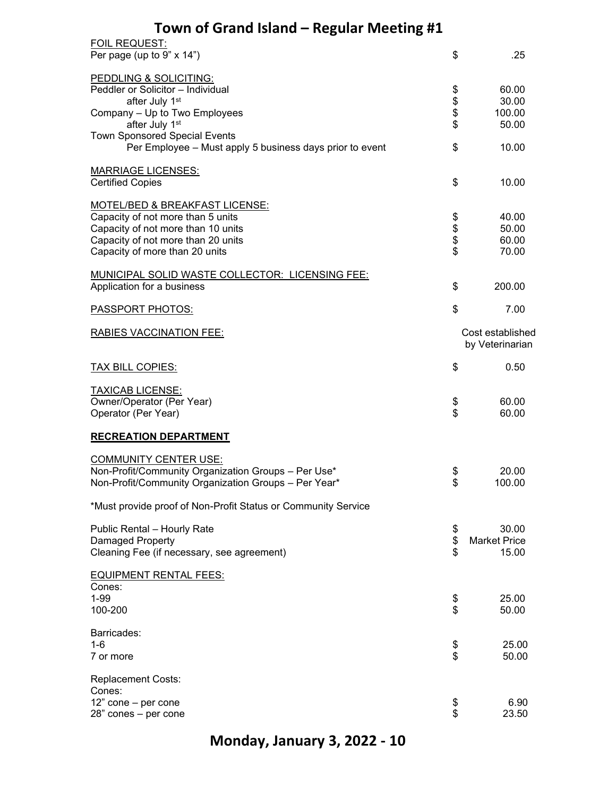| <b>FOIL REQUEST:</b>                                          |          |                     |
|---------------------------------------------------------------|----------|---------------------|
| Per page (up to $9" \times 14"$ )                             | \$       | .25                 |
| PEDDLING & SOLICITING:                                        |          |                     |
| Peddler or Solicitor - Individual                             |          | 60.00               |
| after July 1st                                                | \$       | 30.00               |
|                                                               | \$\$     |                     |
| Company - Up to Two Employees                                 |          | 100.00              |
| after July 1st                                                |          | 50.00               |
| <b>Town Sponsored Special Events</b>                          |          |                     |
| Per Employee - Must apply 5 business days prior to event      | \$       | 10.00               |
| <b>MARRIAGE LICENSES:</b>                                     |          |                     |
| <b>Certified Copies</b>                                       | \$       | 10.00               |
| MOTEL/BED & BREAKFAST LICENSE:                                |          |                     |
| Capacity of not more than 5 units                             | \$       | 40.00               |
| Capacity of not more than 10 units                            |          | 50.00               |
|                                                               |          |                     |
| Capacity of not more than 20 units                            | \$\$     | 60.00               |
| Capacity of more than 20 units                                |          | 70.00               |
| MUNICIPAL SOLID WASTE COLLECTOR: LICENSING FEE:               |          |                     |
| Application for a business                                    | \$       | 200.00              |
|                                                               |          |                     |
| <b>PASSPORT PHOTOS:</b>                                       | \$       | 7.00                |
| <b>RABIES VACCINATION FEE:</b>                                |          | Cost established    |
|                                                               |          | by Veterinarian     |
| <b>TAX BILL COPIES:</b>                                       | \$       | 0.50                |
|                                                               |          |                     |
| <b>TAXICAB LICENSE:</b>                                       |          |                     |
| Owner/Operator (Per Year)                                     |          | 60.00               |
| Operator (Per Year)                                           | \$<br>\$ | 60.00               |
|                                                               |          |                     |
| <b>RECREATION DEPARTMENT</b>                                  |          |                     |
| <b>COMMUNITY CENTER USE:</b>                                  |          |                     |
| Non-Profit/Community Organization Groups - Per Use*           | \$       | 20.00               |
| Non-Profit/Community Organization Groups - Per Year*          | \$       | 100.00              |
|                                                               |          |                     |
| *Must provide proof of Non-Profit Status or Community Service |          |                     |
| Public Rental - Hourly Rate                                   | \$       | 30.00               |
| Damaged Property                                              | \$       | <b>Market Price</b> |
|                                                               | \$       |                     |
| Cleaning Fee (if necessary, see agreement)                    |          | 15.00               |
| <b>EQUIPMENT RENTAL FEES:</b>                                 |          |                     |
| Cones:                                                        |          |                     |
| $1 - 99$                                                      | \$       | 25.00               |
| 100-200                                                       | \$       | 50.00               |
|                                                               |          |                     |
| Barricades:                                                   |          |                     |
| $1 - 6$                                                       | \$<br>\$ | 25.00               |
| 7 or more                                                     |          | 50.00               |
| <b>Replacement Costs:</b>                                     |          |                     |
| Cones:                                                        |          |                     |
| 12" cone - per cone                                           |          |                     |
|                                                               | \$       | 6.90                |
| 28" cones - per cone                                          | \$       | 23.50               |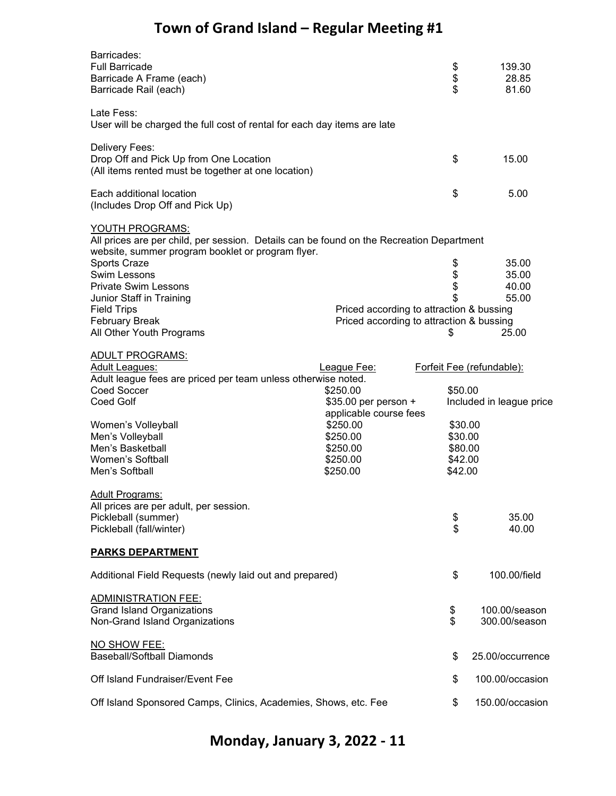| Barricades:<br><b>Full Barricade</b><br>Barricade A Frame (each)<br>Barricade Rail (each)                                                                        |                                          | \$<br>\$<br>\$            | 139.30<br>28.85<br>81.60       |
|------------------------------------------------------------------------------------------------------------------------------------------------------------------|------------------------------------------|---------------------------|--------------------------------|
| Late Fess:<br>User will be charged the full cost of rental for each day items are late                                                                           |                                          |                           |                                |
| Delivery Fees:<br>Drop Off and Pick Up from One Location<br>(All items rented must be together at one location)                                                  |                                          | \$                        | 15.00                          |
| Each additional location<br>(Includes Drop Off and Pick Up)                                                                                                      |                                          | \$                        | 5.00                           |
| YOUTH PROGRAMS:<br>All prices are per child, per session. Details can be found on the Recreation Department<br>website, summer program booklet or program flyer. |                                          |                           |                                |
| Sports Craze                                                                                                                                                     |                                          |                           | 35.00                          |
| <b>Swim Lessons</b>                                                                                                                                              |                                          | \$\$\$\$                  | 35.00                          |
| <b>Private Swim Lessons</b>                                                                                                                                      |                                          |                           | 40.00                          |
| Junior Staff in Training                                                                                                                                         |                                          |                           | 55.00                          |
| <b>Field Trips</b>                                                                                                                                               | Priced according to attraction & bussing |                           |                                |
| <b>February Break</b>                                                                                                                                            | Priced according to attraction & bussing |                           |                                |
| All Other Youth Programs                                                                                                                                         |                                          | \$                        | 25.00                          |
| <b>ADULT PROGRAMS:</b>                                                                                                                                           |                                          |                           |                                |
| <b>Adult Leagues:</b>                                                                                                                                            | League Fee:                              | Forfeit Fee (refundable): |                                |
| Adult league fees are priced per team unless otherwise noted.                                                                                                    |                                          |                           |                                |
| Coed Soccer                                                                                                                                                      | \$250.00                                 | \$50.00                   |                                |
| Coed Golf                                                                                                                                                        | \$35.00 per person +                     |                           | Included in league price       |
|                                                                                                                                                                  | applicable course fees                   |                           |                                |
| Women's Volleyball                                                                                                                                               | \$250.00                                 | \$30.00                   |                                |
| Men's Volleyball                                                                                                                                                 | \$250.00                                 | \$30.00                   |                                |
| Men's Basketball                                                                                                                                                 | \$250.00                                 | \$80.00                   |                                |
| Women's Softball                                                                                                                                                 | \$250.00                                 | \$42.00                   |                                |
| Men's Softball                                                                                                                                                   | \$250.00                                 | \$42.00                   |                                |
| <b>Adult Programs:</b><br>All prices are per adult, per session.                                                                                                 |                                          |                           |                                |
| Pickleball (summer)                                                                                                                                              |                                          | \$<br>\$                  | 35.00                          |
| Pickleball (fall/winter)                                                                                                                                         |                                          |                           | 40.00                          |
| <b>PARKS DEPARTMENT</b>                                                                                                                                          |                                          |                           |                                |
| Additional Field Requests (newly laid out and prepared)                                                                                                          |                                          | \$                        | 100.00/field                   |
| <b>ADMINISTRATION FEE:</b><br><b>Grand Island Organizations</b><br>Non-Grand Island Organizations                                                                |                                          | \$<br>\$                  | 100.00/season<br>300.00/season |
| NO SHOW FEE:<br><b>Baseball/Softball Diamonds</b>                                                                                                                |                                          | \$                        | 25.00/occurrence               |
| Off Island Fundraiser/Event Fee                                                                                                                                  |                                          | \$                        | 100.00/occasion                |
| Off Island Sponsored Camps, Clinics, Academies, Shows, etc. Fee                                                                                                  |                                          | \$                        | 150.00/occasion                |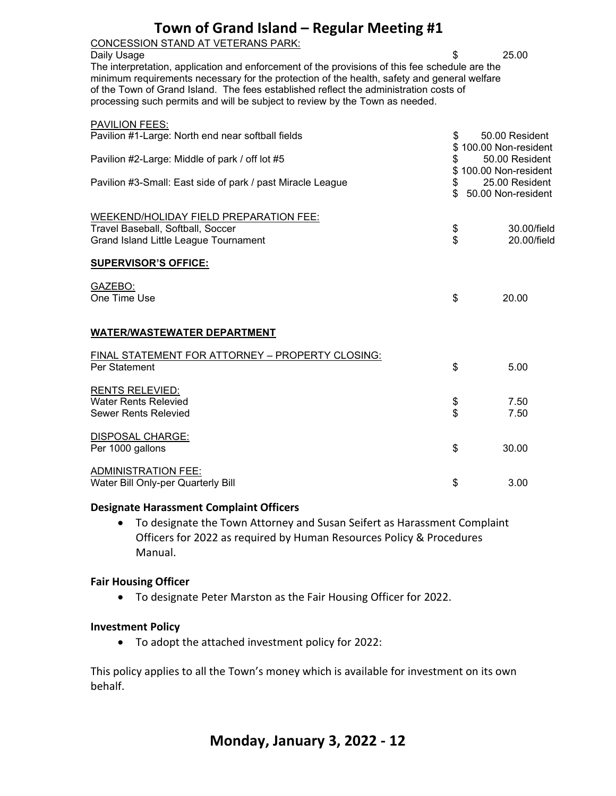CONCESSION STAND AT VETERANS PARK:

Daily Usage **3 25.00** 

The interpretation, application and enforcement of the provisions of this fee schedule are the minimum requirements necessary for the protection of the health, safety and general welfare of the Town of Grand Island. The fees established reflect the administration costs of processing such permits and will be subject to review by the Town as needed.

| <b>PAVILION FEES:</b>                                                      |          |                                       |
|----------------------------------------------------------------------------|----------|---------------------------------------|
| Pavilion #1-Large: North end near softball fields                          | \$<br>\$ | 50.00 Resident<br>100.00 Non-resident |
| Pavilion #2-Large: Middle of park / off lot #5                             | \$<br>\$ | 50.00 Resident<br>100.00 Non-resident |
| Pavilion #3-Small: East side of park / past Miracle League                 | \$       | 25.00 Resident<br>50.00 Non-resident  |
| WEEKEND/HOLIDAY FIELD PREPARATION FEE:                                     |          |                                       |
| Travel Baseball, Softball, Soccer<br>Grand Island Little League Tournament | \$<br>Տ  | 30.00/field<br>20.00/field            |
| <b>SUPERVISOR'S OFFICE:</b>                                                |          |                                       |
| GAZEBO:                                                                    |          |                                       |
| One Time Use                                                               | \$       | 20.00                                 |
| <b>WATER/WASTEWATER DEPARTMENT</b>                                         |          |                                       |
| FINAL STATEMENT FOR ATTORNEY - PROPERTY CLOSING:                           |          |                                       |
| Per Statement                                                              | \$       | 5.00                                  |
| <b>RENTS RELEVIED:</b><br><b>Water Rents Relevied</b>                      |          | 7.50                                  |
| <b>Sewer Rents Relevied</b>                                                | \$       | 7.50                                  |
| <b>DISPOSAL CHARGE:</b>                                                    |          |                                       |
| Per 1000 gallons                                                           | \$       | 30.00                                 |
| <b>ADMINISTRATION FEE:</b><br>Water Bill Only-per Quarterly Bill           | \$       | 3.00                                  |
|                                                                            |          |                                       |

#### **Designate Harassment Complaint Officers**

• To designate the Town Attorney and Susan Seifert as Harassment Complaint Officers for 2022 as required by Human Resources Policy & Procedures Manual.

#### **Fair Housing Officer**

• To designate Peter Marston as the Fair Housing Officer for 2022.

#### **Investment Policy**

• To adopt the attached investment policy for 2022:

This policy applies to all the Town's money which is available for investment on its own behalf.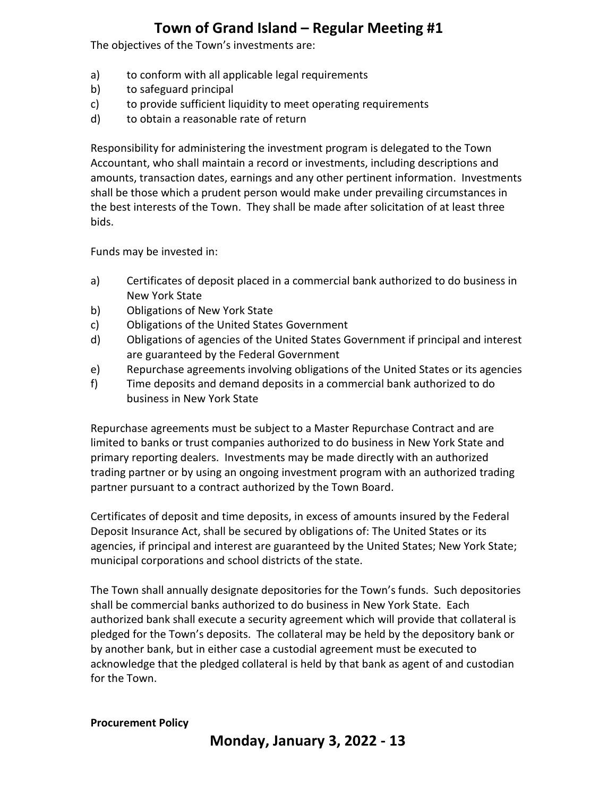The objectives of the Town's investments are:

- a) to conform with all applicable legal requirements
- b) to safeguard principal
- c) to provide sufficient liquidity to meet operating requirements
- d) to obtain a reasonable rate of return

Responsibility for administering the investment program is delegated to the Town Accountant, who shall maintain a record or investments, including descriptions and amounts, transaction dates, earnings and any other pertinent information. Investments shall be those which a prudent person would make under prevailing circumstances in the best interests of the Town. They shall be made after solicitation of at least three bids.

Funds may be invested in:

- a) Certificates of deposit placed in a commercial bank authorized to do business in New York State
- b) Obligations of New York State
- c) Obligations of the United States Government
- d) Obligations of agencies of the United States Government if principal and interest are guaranteed by the Federal Government
- e) Repurchase agreements involving obligations of the United States or its agencies
- f) Time deposits and demand deposits in a commercial bank authorized to do business in New York State

Repurchase agreements must be subject to a Master Repurchase Contract and are limited to banks or trust companies authorized to do business in New York State and primary reporting dealers. Investments may be made directly with an authorized trading partner or by using an ongoing investment program with an authorized trading partner pursuant to a contract authorized by the Town Board.

Certificates of deposit and time deposits, in excess of amounts insured by the Federal Deposit Insurance Act, shall be secured by obligations of: The United States or its agencies, if principal and interest are guaranteed by the United States; New York State; municipal corporations and school districts of the state.

The Town shall annually designate depositories for the Town's funds. Such depositories shall be commercial banks authorized to do business in New York State. Each authorized bank shall execute a security agreement which will provide that collateral is pledged for the Town's deposits. The collateral may be held by the depository bank or by another bank, but in either case a custodial agreement must be executed to acknowledge that the pledged collateral is held by that bank as agent of and custodian for the Town.

#### **Procurement Policy**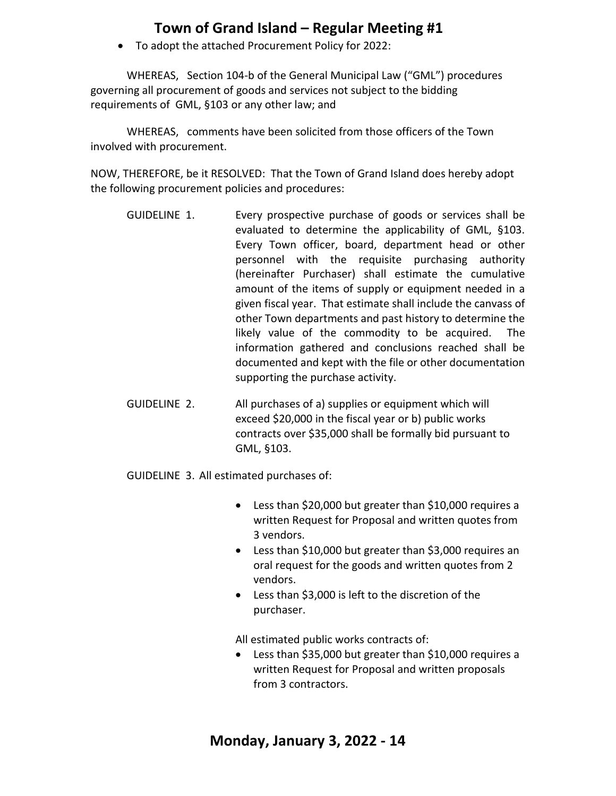• To adopt the attached Procurement Policy for 2022:

WHEREAS, Section 104-b of the General Municipal Law ("GML") procedures governing all procurement of goods and services not subject to the bidding requirements of GML, §103 or any other law; and

 WHEREAS, comments have been solicited from those officers of the Town involved with procurement.

NOW, THEREFORE, be it RESOLVED: That the Town of Grand Island does hereby adopt the following procurement policies and procedures:

- GUIDELINE 1. Every prospective purchase of goods or services shall be evaluated to determine the applicability of GML, §103. Every Town officer, board, department head or other personnel with the requisite purchasing authority (hereinafter Purchaser) shall estimate the cumulative amount of the items of supply or equipment needed in a given fiscal year. That estimate shall include the canvass of other Town departments and past history to determine the likely value of the commodity to be acquired. The information gathered and conclusions reached shall be documented and kept with the file or other documentation supporting the purchase activity.
- GUIDELINE 2. All purchases of a) supplies or equipment which will exceed \$20,000 in the fiscal year or b) public works contracts over \$35,000 shall be formally bid pursuant to GML, §103.
- GUIDELINE 3. All estimated purchases of:
	- Less than \$20,000 but greater than \$10,000 requires a written Request for Proposal and written quotes from 3 vendors.
	- Less than \$10,000 but greater than \$3,000 requires an oral request for the goods and written quotes from 2 vendors.
	- Less than \$3,000 is left to the discretion of the purchaser.

All estimated public works contracts of:

Less than \$35,000 but greater than \$10,000 requires a written Request for Proposal and written proposals from 3 contractors.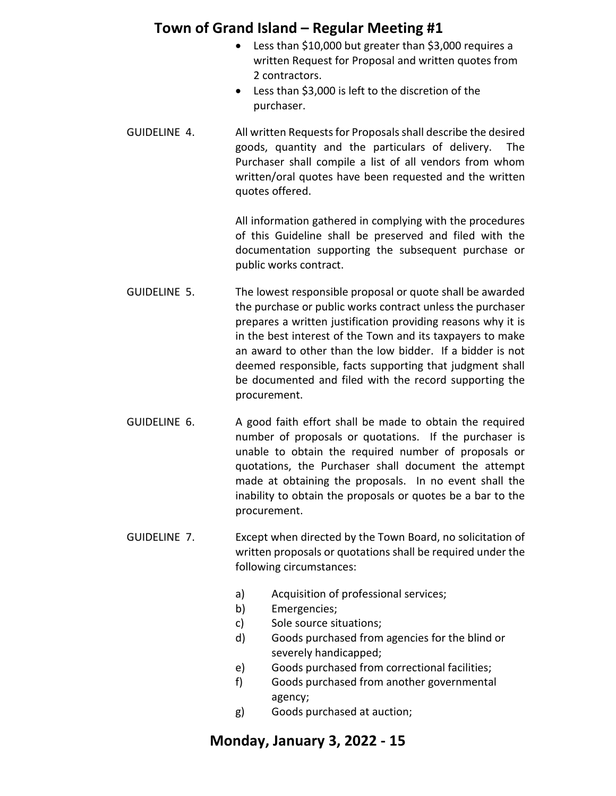- Less than \$10,000 but greater than \$3,000 requires a written Request for Proposal and written quotes from 2 contractors.
- Less than \$3,000 is left to the discretion of the purchaser.
- GUIDELINE 4. All written Requests for Proposals shall describe the desired goods, quantity and the particulars of delivery. The Purchaser shall compile a list of all vendors from whom written/oral quotes have been requested and the written quotes offered.

All information gathered in complying with the procedures of this Guideline shall be preserved and filed with the documentation supporting the subsequent purchase or public works contract.

- GUIDELINE 5. The lowest responsible proposal or quote shall be awarded the purchase or public works contract unless the purchaser prepares a written justification providing reasons why it is in the best interest of the Town and its taxpayers to make an award to other than the low bidder. If a bidder is not deemed responsible, facts supporting that judgment shall be documented and filed with the record supporting the procurement.
- GUIDELINE 6. A good faith effort shall be made to obtain the required number of proposals or quotations. If the purchaser is unable to obtain the required number of proposals or quotations, the Purchaser shall document the attempt made at obtaining the proposals. In no event shall the inability to obtain the proposals or quotes be a bar to the procurement.
- GUIDELINE 7. Except when directed by the Town Board, no solicitation of written proposals or quotations shall be required under the following circumstances:
	- a) Acquisition of professional services;
	- b) Emergencies;
	- c) Sole source situations;
	- d) Goods purchased from agencies for the blind or severely handicapped;
	- e) Goods purchased from correctional facilities;
	- f) Goods purchased from another governmental agency;
	- g) Goods purchased at auction;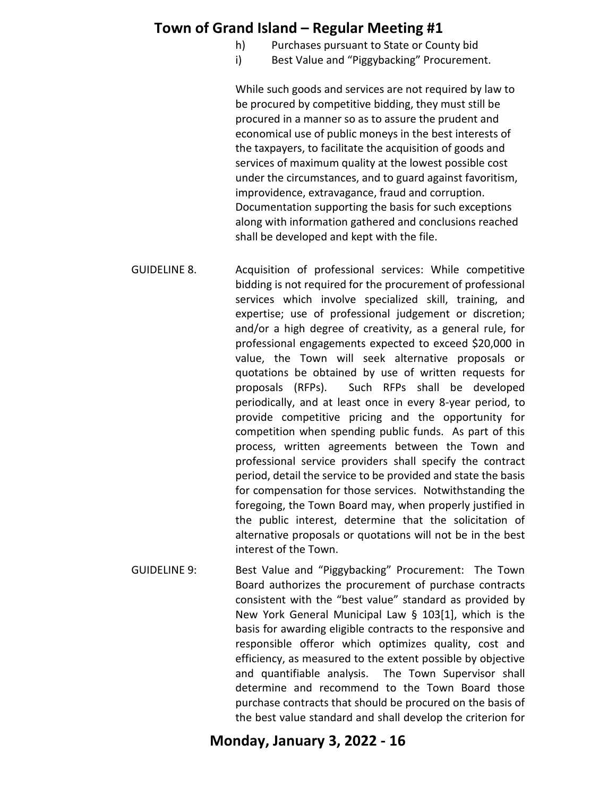- h) Purchases pursuant to State or County bid
- i) Best Value and "Piggybacking" Procurement.

While such goods and services are not required by law to be procured by competitive bidding, they must still be procured in a manner so as to assure the prudent and economical use of public moneys in the best interests of the taxpayers, to facilitate the acquisition of goods and services of maximum quality at the lowest possible cost under the circumstances, and to guard against favoritism, improvidence, extravagance, fraud and corruption. Documentation supporting the basis for such exceptions along with information gathered and conclusions reached shall be developed and kept with the file.

- GUIDELINE 8. Acquisition of professional services: While competitive bidding is not required for the procurement of professional services which involve specialized skill, training, and expertise; use of professional judgement or discretion; and/or a high degree of creativity, as a general rule, for professional engagements expected to exceed \$20,000 in value, the Town will seek alternative proposals or quotations be obtained by use of written requests for proposals (RFPs). Such RFPs shall be developed periodically, and at least once in every 8-year period, to provide competitive pricing and the opportunity for competition when spending public funds. As part of this process, written agreements between the Town and professional service providers shall specify the contract period, detail the service to be provided and state the basis for compensation for those services. Notwithstanding the foregoing, the Town Board may, when properly justified in the public interest, determine that the solicitation of alternative proposals or quotations will not be in the best interest of the Town.
- GUIDELINE 9: Best Value and "Piggybacking" Procurement: The Town Board authorizes the procurement of purchase contracts consistent with the "best value" standard as provided by New York General Municipal Law § 103[1], which is the basis for awarding eligible contracts to the responsive and responsible offeror which optimizes quality, cost and efficiency, as measured to the extent possible by objective and quantifiable analysis. The Town Supervisor shall determine and recommend to the Town Board those purchase contracts that should be procured on the basis of the best value standard and shall develop the criterion for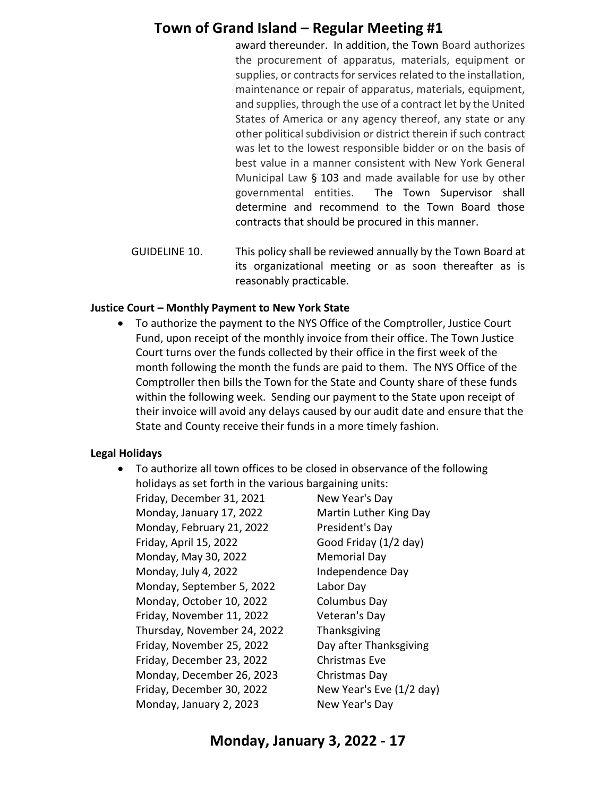award thereunder. In addition, the Town Board authorizes the procurement of apparatus, materials, equipment or supplies, or contracts for services related to the installation, maintenance or repair of apparatus, materials, equipment, and supplies, through the use of a contract let by the United States of America or any agency thereof, any state or any other political subdivision or district therein if such contract was let to the lowest responsible bidder or on the basis of best value in a manner consistent with New York General Municipal Law § 103 and made available for use by other governmental entities. The Town Supervisor shall determine and recommend to the Town Board those contracts that should be procured in this manner.

GUIDELINE 10. This policy shall be reviewed annually by the Town Board at its organizational meeting or as soon thereafter as is reasonably practicable.

#### **Justice Court – Monthly Payment to New York State**

• To authorize the payment to the NYS Office of the Comptroller, Justice Court Fund, upon receipt of the monthly invoice from their office. The Town Justice Court turns over the funds collected by their office in the first week of the month following the month the funds are paid to them. The NYS Office of the Comptroller then bills the Town for the State and County share of these funds within the following week. Sending our payment to the State upon receipt of their invoice will avoid any delays caused by our audit date and ensure that the State and County receive their funds in a more timely fashion.

### **Legal Holidays**

- To authorize all town offices to be closed in observance of the following holidays as set forth in the various bargaining units:
	- Friday, December 31, 2021 New Year's Day Monday, January 17, 2022 Martin Luther King Day Monday, February 21, 2022 President's Day Friday, April 15, 2022 Good Friday (1/2 day) Monday, May 30, 2022 Memorial Day Monday, July 4, 2022 **Independence Day** Monday, September 5, 2022 Labor Day Monday, October 10, 2022 Columbus Day Friday, November 11, 2022 Veteran's Day Thursday, November 24, 2022 Thanksgiving Friday, November 25, 2022 Day after Thanksgiving Friday, December 23, 2022 Christmas Eve Monday, December 26, 2023 Christmas Day Friday, December 30, 2022 New Year's Eve (1/2 day) Monday, January 2, 2023 New Year's Day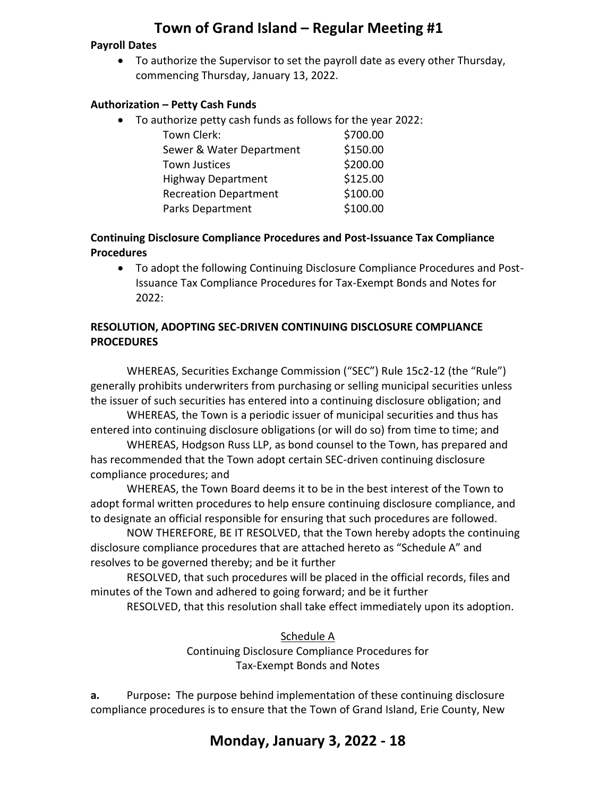#### **Payroll Dates**

• To authorize the Supervisor to set the payroll date as every other Thursday, commencing Thursday, January 13, 2022.

#### **Authorization – Petty Cash Funds**

• To authorize petty cash funds as follows for the year 2022:

| Town Clerk:                  | \$700.00 |
|------------------------------|----------|
| Sewer & Water Department     | \$150.00 |
| <b>Town Justices</b>         | \$200.00 |
| <b>Highway Department</b>    | \$125.00 |
| <b>Recreation Department</b> | \$100.00 |
| <b>Parks Department</b>      | \$100.00 |

#### **Continuing Disclosure Compliance Procedures and Post-Issuance Tax Compliance Procedures**

• To adopt the following Continuing Disclosure Compliance Procedures and Post-Issuance Tax Compliance Procedures for Tax-Exempt Bonds and Notes for 2022:

#### **RESOLUTION, ADOPTING SEC-DRIVEN CONTINUING DISCLOSURE COMPLIANCE PROCEDURES**

WHEREAS, Securities Exchange Commission ("SEC") Rule 15c2-12 (the "Rule") generally prohibits underwriters from purchasing or selling municipal securities unless the issuer of such securities has entered into a continuing disclosure obligation; and

WHEREAS, the Town is a periodic issuer of municipal securities and thus has entered into continuing disclosure obligations (or will do so) from time to time; and

WHEREAS, Hodgson Russ LLP, as bond counsel to the Town, has prepared and has recommended that the Town adopt certain SEC-driven continuing disclosure compliance procedures; and

WHEREAS, the Town Board deems it to be in the best interest of the Town to adopt formal written procedures to help ensure continuing disclosure compliance, and to designate an official responsible for ensuring that such procedures are followed.

NOW THEREFORE, BE IT RESOLVED, that the Town hereby adopts the continuing disclosure compliance procedures that are attached hereto as "Schedule A" and resolves to be governed thereby; and be it further

RESOLVED, that such procedures will be placed in the official records, files and minutes of the Town and adhered to going forward; and be it further

RESOLVED, that this resolution shall take effect immediately upon its adoption.

Schedule A Continuing Disclosure Compliance Procedures for Tax-Exempt Bonds and Notes

**a.** Purpose**:** The purpose behind implementation of these continuing disclosure compliance procedures is to ensure that the Town of Grand Island, Erie County, New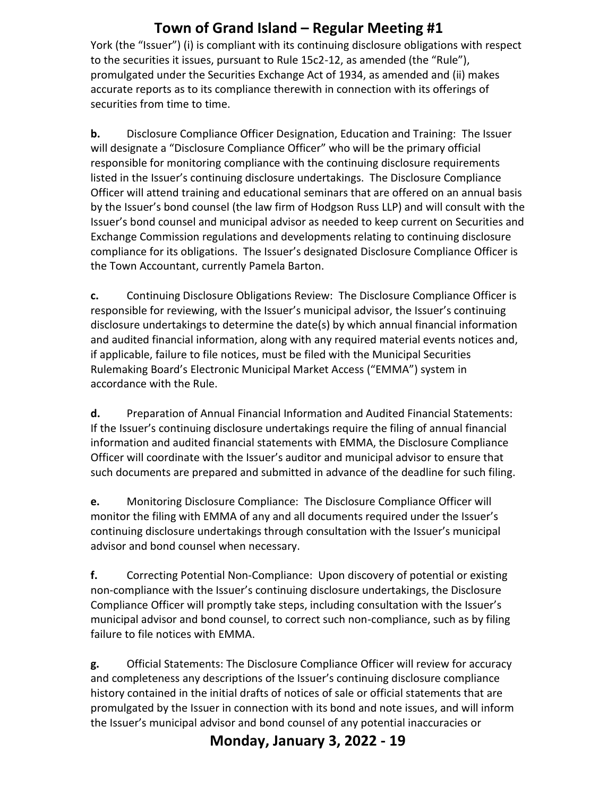York (the "Issuer") (i) is compliant with its continuing disclosure obligations with respect to the securities it issues, pursuant to Rule 15c2-12, as amended (the "Rule"), promulgated under the Securities Exchange Act of 1934, as amended and (ii) makes accurate reports as to its compliance therewith in connection with its offerings of securities from time to time.

**b.** Disclosure Compliance Officer Designation, Education and Training: The Issuer will designate a "Disclosure Compliance Officer" who will be the primary official responsible for monitoring compliance with the continuing disclosure requirements listed in the Issuer's continuing disclosure undertakings. The Disclosure Compliance Officer will attend training and educational seminars that are offered on an annual basis by the Issuer's bond counsel (the law firm of Hodgson Russ LLP) and will consult with the Issuer's bond counsel and municipal advisor as needed to keep current on Securities and Exchange Commission regulations and developments relating to continuing disclosure compliance for its obligations. The Issuer's designated Disclosure Compliance Officer is the Town Accountant, currently Pamela Barton.

**c.** Continuing Disclosure Obligations Review: The Disclosure Compliance Officer is responsible for reviewing, with the Issuer's municipal advisor, the Issuer's continuing disclosure undertakings to determine the date(s) by which annual financial information and audited financial information, along with any required material events notices and, if applicable, failure to file notices, must be filed with the Municipal Securities Rulemaking Board's Electronic Municipal Market Access ("EMMA") system in accordance with the Rule.

**d.** Preparation of Annual Financial Information and Audited Financial Statements: If the Issuer's continuing disclosure undertakings require the filing of annual financial information and audited financial statements with EMMA, the Disclosure Compliance Officer will coordinate with the Issuer's auditor and municipal advisor to ensure that such documents are prepared and submitted in advance of the deadline for such filing.

**e.** Monitoring Disclosure Compliance: The Disclosure Compliance Officer will monitor the filing with EMMA of any and all documents required under the Issuer's continuing disclosure undertakings through consultation with the Issuer's municipal advisor and bond counsel when necessary.

**f.** Correcting Potential Non-Compliance: Upon discovery of potential or existing non-compliance with the Issuer's continuing disclosure undertakings, the Disclosure Compliance Officer will promptly take steps, including consultation with the Issuer's municipal advisor and bond counsel, to correct such non-compliance, such as by filing failure to file notices with EMMA.

**g.** Official Statements: The Disclosure Compliance Officer will review for accuracy and completeness any descriptions of the Issuer's continuing disclosure compliance history contained in the initial drafts of notices of sale or official statements that are promulgated by the Issuer in connection with its bond and note issues, and will inform the Issuer's municipal advisor and bond counsel of any potential inaccuracies or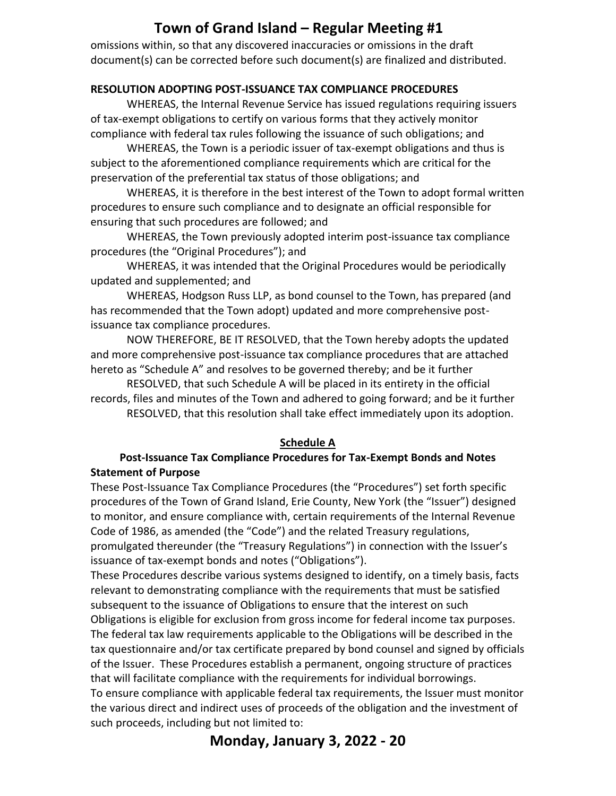omissions within, so that any discovered inaccuracies or omissions in the draft document(s) can be corrected before such document(s) are finalized and distributed.

#### **RESOLUTION ADOPTING POST-ISSUANCE TAX COMPLIANCE PROCEDURES**

WHEREAS, the Internal Revenue Service has issued regulations requiring issuers of tax-exempt obligations to certify on various forms that they actively monitor compliance with federal tax rules following the issuance of such obligations; and

WHEREAS, the Town is a periodic issuer of tax-exempt obligations and thus is subject to the aforementioned compliance requirements which are critical for the preservation of the preferential tax status of those obligations; and

WHEREAS, it is therefore in the best interest of the Town to adopt formal written procedures to ensure such compliance and to designate an official responsible for ensuring that such procedures are followed; and

WHEREAS, the Town previously adopted interim post-issuance tax compliance procedures (the "Original Procedures"); and

WHEREAS, it was intended that the Original Procedures would be periodically updated and supplemented; and

WHEREAS, Hodgson Russ LLP, as bond counsel to the Town, has prepared (and has recommended that the Town adopt) updated and more comprehensive postissuance tax compliance procedures.

NOW THEREFORE, BE IT RESOLVED, that the Town hereby adopts the updated and more comprehensive post-issuance tax compliance procedures that are attached hereto as "Schedule A" and resolves to be governed thereby; and be it further

RESOLVED, that such Schedule A will be placed in its entirety in the official records, files and minutes of the Town and adhered to going forward; and be it further RESOLVED, that this resolution shall take effect immediately upon its adoption.

#### **Schedule A**

#### **Post-Issuance Tax Compliance Procedures for Tax-Exempt Bonds and Notes Statement of Purpose**

These Post-Issuance Tax Compliance Procedures (the "Procedures") set forth specific procedures of the Town of Grand Island, Erie County, New York (the "Issuer") designed to monitor, and ensure compliance with, certain requirements of the Internal Revenue Code of 1986, as amended (the "Code") and the related Treasury regulations, promulgated thereunder (the "Treasury Regulations") in connection with the Issuer's issuance of tax-exempt bonds and notes ("Obligations").

These Procedures describe various systems designed to identify, on a timely basis, facts relevant to demonstrating compliance with the requirements that must be satisfied subsequent to the issuance of Obligations to ensure that the interest on such Obligations is eligible for exclusion from gross income for federal income tax purposes. The federal tax law requirements applicable to the Obligations will be described in the tax questionnaire and/or tax certificate prepared by bond counsel and signed by officials of the Issuer. These Procedures establish a permanent, ongoing structure of practices that will facilitate compliance with the requirements for individual borrowings. To ensure compliance with applicable federal tax requirements, the Issuer must monitor the various direct and indirect uses of proceeds of the obligation and the investment of such proceeds, including but not limited to: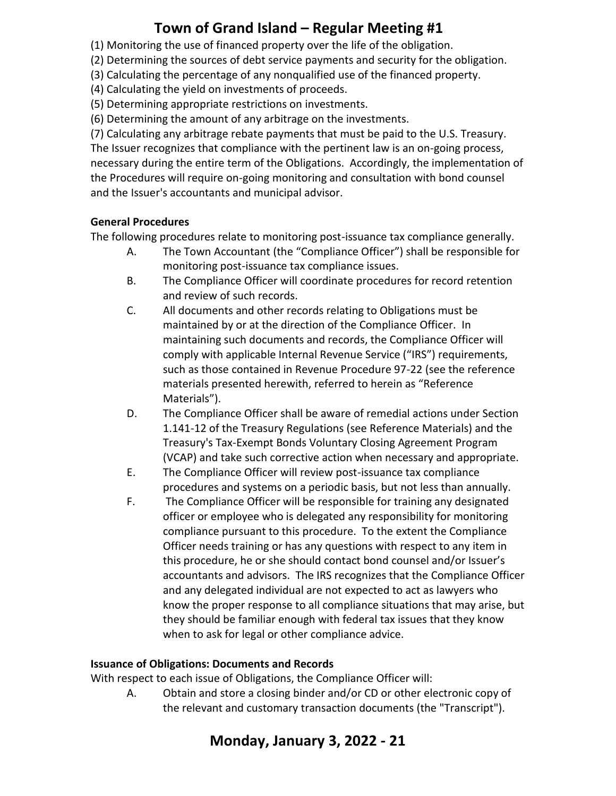(1) Monitoring the use of financed property over the life of the obligation.

(2) Determining the sources of debt service payments and security for the obligation.

(3) Calculating the percentage of any nonqualified use of the financed property.

(4) Calculating the yield on investments of proceeds.

(5) Determining appropriate restrictions on investments.

(6) Determining the amount of any arbitrage on the investments.

(7) Calculating any arbitrage rebate payments that must be paid to the U.S. Treasury. The Issuer recognizes that compliance with the pertinent law is an on-going process, necessary during the entire term of the Obligations. Accordingly, the implementation of the Procedures will require on-going monitoring and consultation with bond counsel and the Issuer's accountants and municipal advisor.

#### **General Procedures**

The following procedures relate to monitoring post-issuance tax compliance generally.

- A. The Town Accountant (the "Compliance Officer") shall be responsible for monitoring post-issuance tax compliance issues.
- B. The Compliance Officer will coordinate procedures for record retention and review of such records.
- C. All documents and other records relating to Obligations must be maintained by or at the direction of the Compliance Officer. In maintaining such documents and records, the Compliance Officer will comply with applicable Internal Revenue Service ("IRS") requirements, such as those contained in Revenue Procedure 97-22 (see the reference materials presented herewith, referred to herein as "Reference Materials").
- D. The Compliance Officer shall be aware of remedial actions under Section 1.141-12 of the Treasury Regulations (see Reference Materials) and the Treasury's Tax-Exempt Bonds Voluntary Closing Agreement Program (VCAP) and take such corrective action when necessary and appropriate.
- E. The Compliance Officer will review post-issuance tax compliance procedures and systems on a periodic basis, but not less than annually.
- F. The Compliance Officer will be responsible for training any designated officer or employee who is delegated any responsibility for monitoring compliance pursuant to this procedure. To the extent the Compliance Officer needs training or has any questions with respect to any item in this procedure, he or she should contact bond counsel and/or Issuer's accountants and advisors. The IRS recognizes that the Compliance Officer and any delegated individual are not expected to act as lawyers who know the proper response to all compliance situations that may arise, but they should be familiar enough with federal tax issues that they know when to ask for legal or other compliance advice.

### **Issuance of Obligations: Documents and Records**

With respect to each issue of Obligations, the Compliance Officer will:

A. Obtain and store a closing binder and/or CD or other electronic copy of the relevant and customary transaction documents (the "Transcript").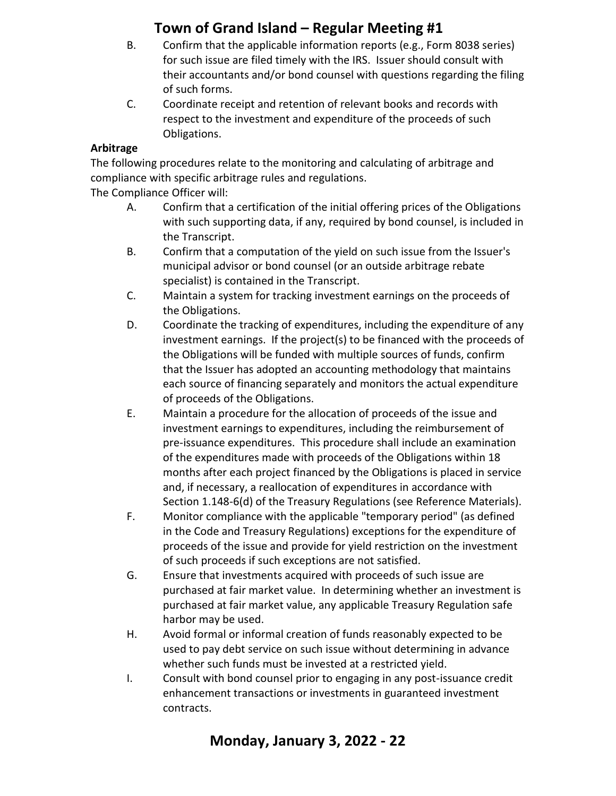- B. Confirm that the applicable information reports (e.g., Form 8038 series) for such issue are filed timely with the IRS. Issuer should consult with their accountants and/or bond counsel with questions regarding the filing of such forms.
- C. Coordinate receipt and retention of relevant books and records with respect to the investment and expenditure of the proceeds of such Obligations.

### **Arbitrage**

The following procedures relate to the monitoring and calculating of arbitrage and compliance with specific arbitrage rules and regulations.

The Compliance Officer will:

- A. Confirm that a certification of the initial offering prices of the Obligations with such supporting data, if any, required by bond counsel, is included in the Transcript.
- B. Confirm that a computation of the yield on such issue from the Issuer's municipal advisor or bond counsel (or an outside arbitrage rebate specialist) is contained in the Transcript.
- C. Maintain a system for tracking investment earnings on the proceeds of the Obligations.
- D. Coordinate the tracking of expenditures, including the expenditure of any investment earnings. If the project(s) to be financed with the proceeds of the Obligations will be funded with multiple sources of funds, confirm that the Issuer has adopted an accounting methodology that maintains each source of financing separately and monitors the actual expenditure of proceeds of the Obligations.
- E. Maintain a procedure for the allocation of proceeds of the issue and investment earnings to expenditures, including the reimbursement of pre-issuance expenditures. This procedure shall include an examination of the expenditures made with proceeds of the Obligations within 18 months after each project financed by the Obligations is placed in service and, if necessary, a reallocation of expenditures in accordance with Section 1.148-6(d) of the Treasury Regulations (see Reference Materials).
- F. Monitor compliance with the applicable "temporary period" (as defined in the Code and Treasury Regulations) exceptions for the expenditure of proceeds of the issue and provide for yield restriction on the investment of such proceeds if such exceptions are not satisfied.
- G. Ensure that investments acquired with proceeds of such issue are purchased at fair market value. In determining whether an investment is purchased at fair market value, any applicable Treasury Regulation safe harbor may be used.
- H. Avoid formal or informal creation of funds reasonably expected to be used to pay debt service on such issue without determining in advance whether such funds must be invested at a restricted yield.
- I. Consult with bond counsel prior to engaging in any post-issuance credit enhancement transactions or investments in guaranteed investment contracts.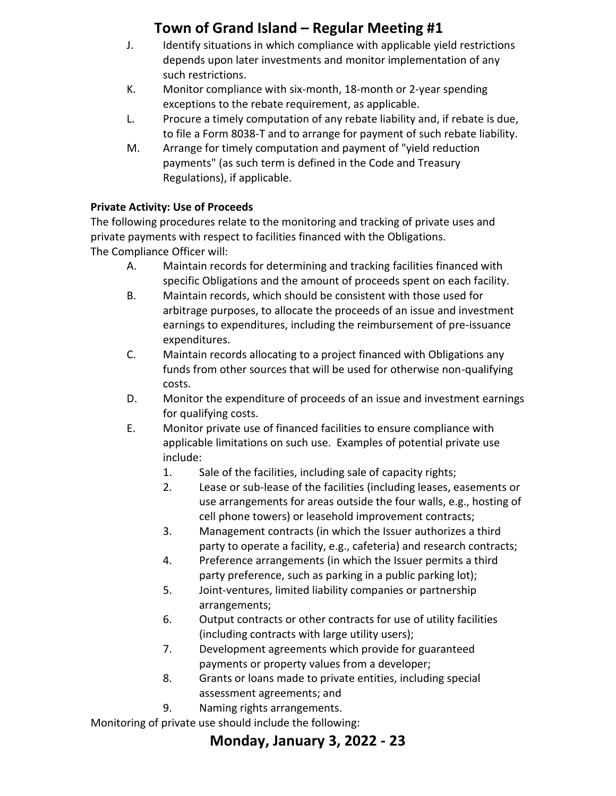- J. Identify situations in which compliance with applicable yield restrictions depends upon later investments and monitor implementation of any such restrictions.
- K. Monitor compliance with six-month, 18-month or 2-year spending exceptions to the rebate requirement, as applicable.
- L. Procure a timely computation of any rebate liability and, if rebate is due, to file a Form 8038-T and to arrange for payment of such rebate liability.
- M. Arrange for timely computation and payment of "yield reduction payments" (as such term is defined in the Code and Treasury Regulations), if applicable.

### **Private Activity: Use of Proceeds**

The following procedures relate to the monitoring and tracking of private uses and private payments with respect to facilities financed with the Obligations. The Compliance Officer will:

- A. Maintain records for determining and tracking facilities financed with specific Obligations and the amount of proceeds spent on each facility.
- B. Maintain records, which should be consistent with those used for arbitrage purposes, to allocate the proceeds of an issue and investment earnings to expenditures, including the reimbursement of pre-issuance expenditures.
- C. Maintain records allocating to a project financed with Obligations any funds from other sources that will be used for otherwise non-qualifying costs.
- D. Monitor the expenditure of proceeds of an issue and investment earnings for qualifying costs.
- E. Monitor private use of financed facilities to ensure compliance with applicable limitations on such use. Examples of potential private use include:
	- 1. Sale of the facilities, including sale of capacity rights;
	- 2. Lease or sub-lease of the facilities (including leases, easements or use arrangements for areas outside the four walls, e.g., hosting of cell phone towers) or leasehold improvement contracts;
	- 3. Management contracts (in which the Issuer authorizes a third party to operate a facility, e.g., cafeteria) and research contracts;
	- 4. Preference arrangements (in which the Issuer permits a third party preference, such as parking in a public parking lot);
	- 5. Joint-ventures, limited liability companies or partnership arrangements;
	- 6. Output contracts or other contracts for use of utility facilities (including contracts with large utility users);
	- 7. Development agreements which provide for guaranteed payments or property values from a developer;
	- 8. Grants or loans made to private entities, including special assessment agreements; and
	- 9. Naming rights arrangements.

Monitoring of private use should include the following: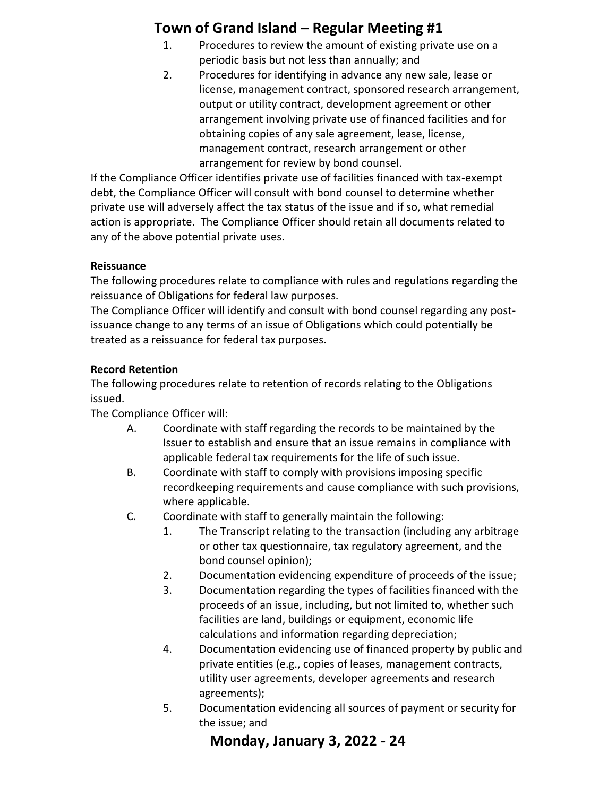- 1. Procedures to review the amount of existing private use on a periodic basis but not less than annually; and
- 2. Procedures for identifying in advance any new sale, lease or license, management contract, sponsored research arrangement, output or utility contract, development agreement or other arrangement involving private use of financed facilities and for obtaining copies of any sale agreement, lease, license, management contract, research arrangement or other arrangement for review by bond counsel.

If the Compliance Officer identifies private use of facilities financed with tax-exempt debt, the Compliance Officer will consult with bond counsel to determine whether private use will adversely affect the tax status of the issue and if so, what remedial action is appropriate. The Compliance Officer should retain all documents related to any of the above potential private uses.

### **Reissuance**

The following procedures relate to compliance with rules and regulations regarding the reissuance of Obligations for federal law purposes.

The Compliance Officer will identify and consult with bond counsel regarding any postissuance change to any terms of an issue of Obligations which could potentially be treated as a reissuance for federal tax purposes.

### **Record Retention**

The following procedures relate to retention of records relating to the Obligations issued.

The Compliance Officer will:

- A. Coordinate with staff regarding the records to be maintained by the Issuer to establish and ensure that an issue remains in compliance with applicable federal tax requirements for the life of such issue.
- B. Coordinate with staff to comply with provisions imposing specific recordkeeping requirements and cause compliance with such provisions, where applicable.
- C. Coordinate with staff to generally maintain the following:
	- 1. The Transcript relating to the transaction (including any arbitrage or other tax questionnaire, tax regulatory agreement, and the bond counsel opinion);
	- 2. Documentation evidencing expenditure of proceeds of the issue;
	- 3. Documentation regarding the types of facilities financed with the proceeds of an issue, including, but not limited to, whether such facilities are land, buildings or equipment, economic life calculations and information regarding depreciation;
	- 4. Documentation evidencing use of financed property by public and private entities (e.g., copies of leases, management contracts, utility user agreements, developer agreements and research agreements);
	- 5. Documentation evidencing all sources of payment or security for the issue; and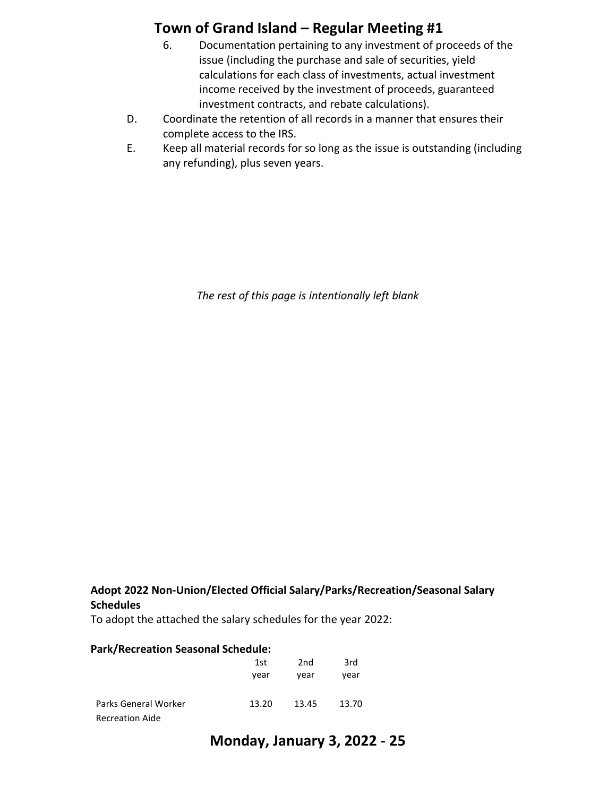- 6. Documentation pertaining to any investment of proceeds of the issue (including the purchase and sale of securities, yield calculations for each class of investments, actual investment income received by the investment of proceeds, guaranteed investment contracts, and rebate calculations).
- D. Coordinate the retention of all records in a manner that ensures their complete access to the IRS.
- E. Keep all material records for so long as the issue is outstanding (including any refunding), plus seven years.

*The rest of this page is intentionally left blank* 

#### **Adopt 2022 Non-Union/Elected Official Salary/Parks/Recreation/Seasonal Salary Schedules**

To adopt the attached the salary schedules for the year 2022:

| <b>Park/Recreation Seasonal Schedule:</b> |       |       |       |
|-------------------------------------------|-------|-------|-------|
|                                           | 1st   | 2nd   | 3rd   |
|                                           | year  | year  | vear  |
| Parks General Worker                      | 13.20 | 13.45 | 13.70 |
| <b>Recreation Aide</b>                    |       |       |       |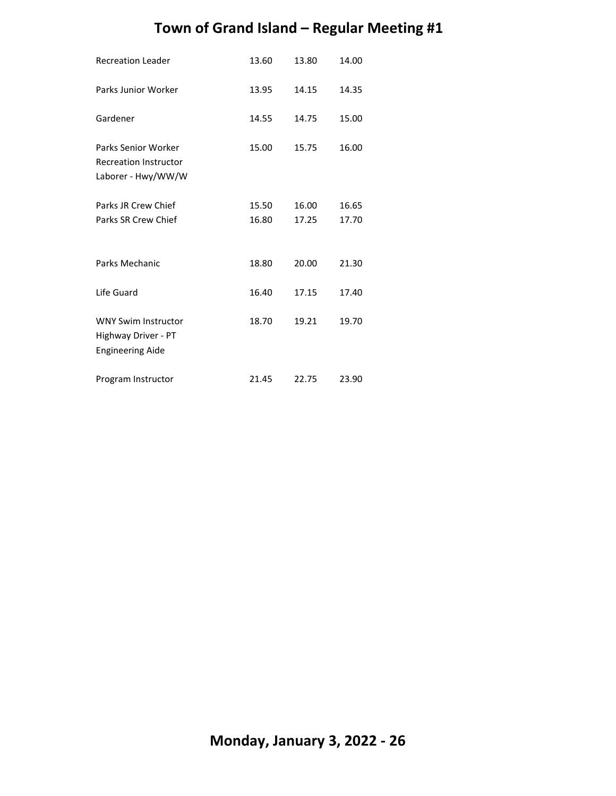| <b>Recreation Leader</b>                                                         | 13.60          | 13.80          | 14.00          |
|----------------------------------------------------------------------------------|----------------|----------------|----------------|
| Parks Junior Worker                                                              | 13.95          | 14.15          | 14.35          |
| Gardener                                                                         | 14.55          | 14.75          | 15.00          |
| <b>Parks Senior Worker</b><br><b>Recreation Instructor</b><br>Laborer - Hwy/WW/W | 15.00          | 15.75          | 16.00          |
| Parks JR Crew Chief<br>Parks SR Crew Chief                                       | 15.50<br>16.80 | 16.00<br>17.25 | 16.65<br>17.70 |
| Parks Mechanic                                                                   | 18.80          | 20.00          | 21.30          |
| Life Guard                                                                       | 16.40          | 17.15          | 17.40          |
| <b>WNY Swim Instructor</b><br>Highway Driver - PT<br><b>Engineering Aide</b>     | 18.70          | 19.21          | 19.70          |
| Program Instructor                                                               | 21.45          | 22.75          | 23.90          |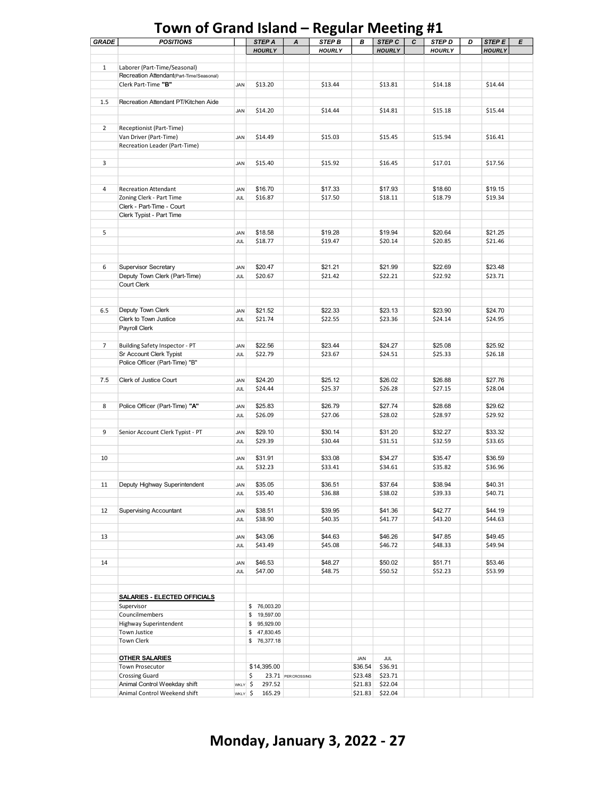| <b>GRADE</b>   | <b>POSITIONS</b>                         |                   | STEP A        | A                  | u<br>STEP B   | В       | STEP C        | ີ<br>С | STEP D        | D | STEP E        | E |
|----------------|------------------------------------------|-------------------|---------------|--------------------|---------------|---------|---------------|--------|---------------|---|---------------|---|
|                |                                          |                   | <b>HOURLY</b> |                    | <b>HOURLY</b> |         | <b>HOURLY</b> |        | <b>HOURLY</b> |   | <b>HOURLY</b> |   |
|                |                                          |                   |               |                    |               |         |               |        |               |   |               |   |
| $\mathbf{1}$   | Laborer (Part-Time/Seasonal)             |                   |               |                    |               |         |               |        |               |   |               |   |
|                | Recreation Attendant(Part-Time/Seasonal) |                   |               |                    |               |         |               |        |               |   |               |   |
|                | Clerk Part-Time "B"                      | JAN               | \$13.20       |                    | \$13.44       |         | \$13.81       |        | \$14.18       |   | \$14.44       |   |
|                |                                          |                   |               |                    |               |         |               |        |               |   |               |   |
| 1.5            | Recreation Attendant PT/Kitchen Aide     |                   |               |                    |               |         |               |        |               |   |               |   |
|                |                                          | JAN               | \$14.20       |                    | \$14.44       |         | \$14.81       |        | \$15.18       |   | \$15.44       |   |
|                |                                          |                   |               |                    |               |         |               |        |               |   |               |   |
| $\overline{2}$ | Receptionist (Part-Time)                 |                   |               |                    |               |         |               |        |               |   |               |   |
|                | Van Driver (Part-Time)                   | JAN               | \$14.49       |                    | \$15.03       |         | \$15.45       |        | \$15.94       |   | \$16.41       |   |
|                | Recreation Leader (Part-Time)            |                   |               |                    |               |         |               |        |               |   |               |   |
|                |                                          |                   |               |                    |               |         |               |        |               |   |               |   |
| 3              |                                          | JAN               | \$15.40       |                    | \$15.92       |         | \$16.45       |        | \$17.01       |   | \$17.56       |   |
|                |                                          |                   |               |                    |               |         |               |        |               |   |               |   |
|                |                                          |                   |               |                    |               |         |               |        |               |   |               |   |
| 4              | Recreation Attendant                     | JAN               | \$16.70       |                    | \$17.33       |         | \$17.93       |        | \$18.60       |   | \$19.15       |   |
|                | Zoning Clerk - Part Time                 | <b>JUL</b>        | \$16.87       |                    | \$17.50       |         | \$18.11       |        | \$18.79       |   | \$19.34       |   |
|                | Clerk - Part-Time - Court                |                   |               |                    |               |         |               |        |               |   |               |   |
|                | Clerk Typist - Part Time                 |                   |               |                    |               |         |               |        |               |   |               |   |
|                |                                          |                   |               |                    |               |         |               |        |               |   |               |   |
| 5              |                                          | JAN               | \$18.58       |                    | \$19.28       |         | \$19.94       |        | \$20.64       |   | \$21.25       |   |
|                |                                          |                   | \$18.77       |                    | \$19.47       |         | \$20.14       |        | \$20.85       |   | \$21.46       |   |
|                |                                          | JUL               |               |                    |               |         |               |        |               |   |               |   |
|                |                                          |                   |               |                    |               |         |               |        |               |   |               |   |
|                |                                          |                   |               |                    |               |         |               |        |               |   |               |   |
| 6              | Supervisor Secretary                     | JAN               | \$20.47       |                    | \$21.21       |         | \$21.99       |        | \$22.69       |   | \$23.48       |   |
|                | Deputy Town Clerk (Part-Time)            | <b>JUL</b>        | \$20.67       |                    | \$21.42       |         | \$22.21       |        | \$22.92       |   | \$23.71       |   |
|                | Court Clerk                              |                   |               |                    |               |         |               |        |               |   |               |   |
|                |                                          |                   |               |                    |               |         |               |        |               |   |               |   |
|                |                                          |                   |               |                    |               |         |               |        |               |   |               |   |
| 6.5            | Deputy Town Clerk                        | JAN               | \$21.52       |                    | \$22.33       |         | \$23.13       |        | \$23.90       |   | \$24.70       |   |
|                | Clerk to Town Justice                    | <b>JUL</b>        | \$21.74       |                    | \$22.55       |         | \$23.36       |        | \$24.14       |   | \$24.95       |   |
|                | Payroll Clerk                            |                   |               |                    |               |         |               |        |               |   |               |   |
|                |                                          |                   |               |                    |               |         |               |        |               |   |               |   |
| $\overline{7}$ | Building Safety Inspector - PT           | JAN               | \$22.56       |                    | \$23.44       |         | \$24.27       |        | \$25.08       |   | \$25.92       |   |
|                | Sr Account Clerk Typist                  | JUL               | \$22.79       |                    | \$23.67       |         | \$24.51       |        | \$25.33       |   | \$26.18       |   |
|                | Police Officer (Part-Time) "B"           |                   |               |                    |               |         |               |        |               |   |               |   |
|                |                                          |                   |               |                    |               |         |               |        |               |   |               |   |
| 7.5            | Clerk of Justice Court                   | JAN               | \$24.20       |                    | \$25.12       |         | \$26.02       |        | \$26.88       |   | \$27.76       |   |
|                |                                          | <b>JUL</b>        | \$24.44       |                    | \$25.37       |         | \$26.28       |        | \$27.15       |   | \$28.04       |   |
|                |                                          |                   |               |                    |               |         |               |        |               |   |               |   |
| 8              | Police Officer (Part-Time) "A"           | JAN               | \$25.83       |                    | \$26.79       |         | \$27.74       |        | \$28.68       |   | \$29.62       |   |
|                |                                          | JUL               | \$26.09       |                    | \$27.06       |         | \$28.02       |        | \$28.97       |   | \$29.92       |   |
|                |                                          |                   |               |                    |               |         |               |        |               |   |               |   |
| 9              | Senior Account Clerk Typist - PT         | JAN               | \$29.10       |                    | \$30.14       |         | \$31.20       |        | \$32.27       |   | \$33.32       |   |
|                |                                          | JUL               | \$29.39       |                    | \$30.44       |         | \$31.51       |        | \$32.59       |   | \$33.65       |   |
|                |                                          |                   |               |                    |               |         |               |        |               |   |               |   |
| 10             |                                          | JAN               | \$31.91       |                    | \$33.08       |         | \$34.27       |        | \$35.47       |   | \$36.59       |   |
|                |                                          | <b>JUL</b>        | \$32.23       |                    | \$33.41       |         | \$34.61       |        | \$35.82       |   | \$36.96       |   |
|                |                                          |                   |               |                    |               |         |               |        |               |   |               |   |
| 11             | Deputy Highway Superintendent            | JAN               | \$35.05       |                    | \$36.51       |         | \$37.64       |        | \$38.94       |   | \$40.31       |   |
|                |                                          | JUL               | \$35.40       |                    | \$36.88       |         | \$38.02       |        | \$39.33       |   | \$40.71       |   |
|                |                                          |                   |               |                    |               |         |               |        |               |   |               |   |
| 12             | <b>Supervising Accountant</b>            | JAN               | \$38.51       |                    | \$39.95       |         | \$41.36       |        | \$42.77       |   | \$44.19       |   |
|                |                                          | JUL               | \$38.90       |                    | \$40.35       |         | \$41.77       |        | \$43.20       |   | \$44.63       |   |
|                |                                          |                   |               |                    |               |         |               |        |               |   |               |   |
| 13             |                                          | JAN               | \$43.06       |                    | \$44.63       |         | \$46.26       |        | \$47.85       |   | \$49.45       |   |
|                |                                          | <b>JUL</b>        | \$43.49       |                    | \$45.08       |         | \$46.72       |        | \$48.33       |   | \$49.94       |   |
|                |                                          |                   |               |                    |               |         |               |        |               |   |               |   |
| 14             |                                          | JAN               | \$46.53       |                    | \$48.27       |         | \$50.02       |        | \$51.71       |   | \$53.46       |   |
|                |                                          | JUL               | \$47.00       |                    | \$48.75       |         | \$50.52       |        | \$52.23       |   | \$53.99       |   |
|                |                                          |                   |               |                    |               |         |               |        |               |   |               |   |
|                |                                          |                   |               |                    |               |         |               |        |               |   |               |   |
|                | <b>SALARIES - ELECTED OFFICIALS</b>      |                   |               |                    |               |         |               |        |               |   |               |   |
|                | Supervisor                               |                   | \$76,003.20   |                    |               |         |               |        |               |   |               |   |
|                | Councilmembers                           |                   | \$19,597.00   |                    |               |         |               |        |               |   |               |   |
|                | Highway Superintendent                   |                   | \$95,929.00   |                    |               |         |               |        |               |   |               |   |
|                | Town Justice                             |                   | \$47,830.45   |                    |               |         |               |        |               |   |               |   |
|                | Town Clerk                               |                   | \$76,377.18   |                    |               |         |               |        |               |   |               |   |
|                |                                          |                   |               |                    |               |         |               |        |               |   |               |   |
|                | <b>OTHER SALARIES</b>                    |                   |               |                    |               | JAN     | JUL           |        |               |   |               |   |
|                | Town Prosecutor                          |                   | \$14,395.00   |                    |               | \$36.54 | \$36.91       |        |               |   |               |   |
|                | <b>Crossing Guard</b>                    |                   | \$            | 23.71 PER CROSSING |               | \$23.48 | \$23.71       |        |               |   |               |   |
|                | Animal Control Weekday shift             | WKLY <sub>5</sub> | 297.52        |                    |               | \$21.83 | \$22.04       |        |               |   |               |   |
|                | Animal Control Weekend shift             | WKLY \$           | 165.29        |                    |               | \$21.83 | \$22.04       |        |               |   |               |   |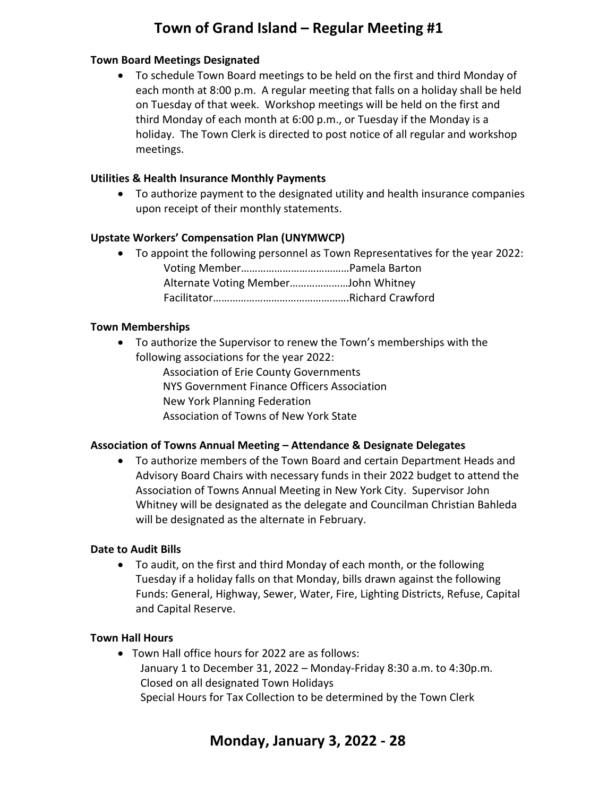#### **Town Board Meetings Designated**

• To schedule Town Board meetings to be held on the first and third Monday of each month at 8:00 p.m. A regular meeting that falls on a holiday shall be held on Tuesday of that week. Workshop meetings will be held on the first and third Monday of each month at 6:00 p.m., or Tuesday if the Monday is a holiday. The Town Clerk is directed to post notice of all regular and workshop meetings.

#### **Utilities & Health Insurance Monthly Payments**

• To authorize payment to the designated utility and health insurance companies upon receipt of their monthly statements.

#### **Upstate Workers' Compensation Plan (UNYMWCP)**

• To appoint the following personnel as Town Representatives for the year 2022: Voting Member…………………………………Pamela Barton Alternate Voting Member…………………John Whitney Facilitator………………………………………….Richard Crawford

#### **Town Memberships**

• To authorize the Supervisor to renew the Town's memberships with the following associations for the year 2022:

Association of Erie County Governments

- NYS Government Finance Officers Association
- New York Planning Federation
- Association of Towns of New York State

#### **Association of Towns Annual Meeting – Attendance & Designate Delegates**

• To authorize members of the Town Board and certain Department Heads and Advisory Board Chairs with necessary funds in their 2022 budget to attend the Association of Towns Annual Meeting in New York City. Supervisor John Whitney will be designated as the delegate and Councilman Christian Bahleda will be designated as the alternate in February.

#### **Date to Audit Bills**

• To audit, on the first and third Monday of each month, or the following Tuesday if a holiday falls on that Monday, bills drawn against the following Funds: General, Highway, Sewer, Water, Fire, Lighting Districts, Refuse, Capital and Capital Reserve.

#### **Town Hall Hours**

• Town Hall office hours for 2022 are as follows: January 1 to December 31, 2022 – Monday-Friday 8:30 a.m. to 4:30p.m. Closed on all designated Town Holidays Special Hours for Tax Collection to be determined by the Town Clerk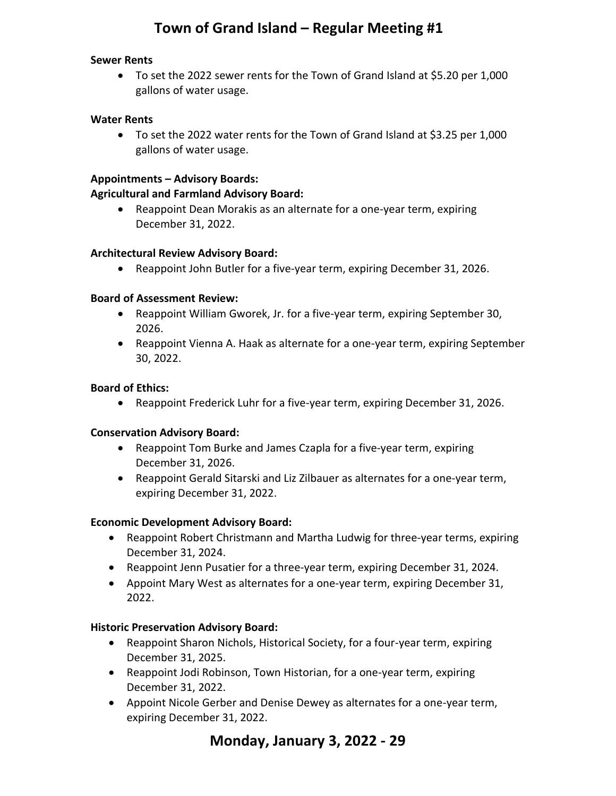#### **Sewer Rents**

• To set the 2022 sewer rents for the Town of Grand Island at \$5.20 per 1,000 gallons of water usage.

#### **Water Rents**

• To set the 2022 water rents for the Town of Grand Island at \$3.25 per 1,000 gallons of water usage.

#### **Appointments – Advisory Boards:**

#### **Agricultural and Farmland Advisory Board:**

• Reappoint Dean Morakis as an alternate for a one-year term, expiring December 31, 2022.

#### **Architectural Review Advisory Board:**

• Reappoint John Butler for a five-year term, expiring December 31, 2026.

#### **Board of Assessment Review:**

- Reappoint William Gworek, Jr. for a five-year term, expiring September 30, 2026.
- Reappoint Vienna A. Haak as alternate for a one-year term, expiring September 30, 2022.

#### **Board of Ethics:**

• Reappoint Frederick Luhr for a five-year term, expiring December 31, 2026.

#### **Conservation Advisory Board:**

- Reappoint Tom Burke and James Czapla for a five-year term, expiring December 31, 2026.
- Reappoint Gerald Sitarski and Liz Zilbauer as alternates for a one-year term, expiring December 31, 2022.

#### **Economic Development Advisory Board:**

- Reappoint Robert Christmann and Martha Ludwig for three-year terms, expiring December 31, 2024.
- Reappoint Jenn Pusatier for a three-year term, expiring December 31, 2024.
- Appoint Mary West as alternates for a one-year term, expiring December 31, 2022.

#### **Historic Preservation Advisory Board:**

- Reappoint Sharon Nichols, Historical Society, for a four-year term, expiring December 31, 2025.
- Reappoint Jodi Robinson, Town Historian, for a one-year term, expiring December 31, 2022.
- Appoint Nicole Gerber and Denise Dewey as alternates for a one-year term, expiring December 31, 2022.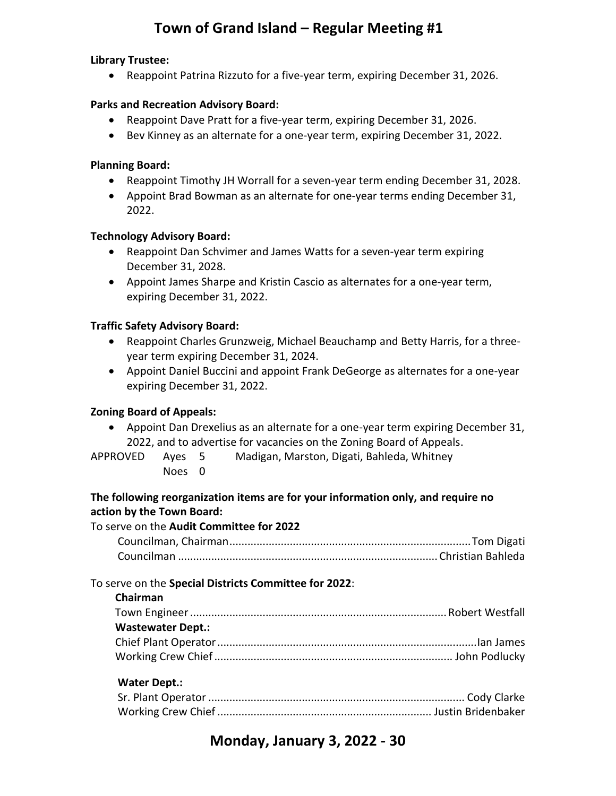#### **Library Trustee:**

• Reappoint Patrina Rizzuto for a five-year term, expiring December 31, 2026.

#### **Parks and Recreation Advisory Board:**

- Reappoint Dave Pratt for a five-year term, expiring December 31, 2026.
- Bev Kinney as an alternate for a one-year term, expiring December 31, 2022.

#### **Planning Board:**

- Reappoint Timothy JH Worrall for a seven-year term ending December 31, 2028.
- Appoint Brad Bowman as an alternate for one-year terms ending December 31, 2022.

#### **Technology Advisory Board:**

- Reappoint Dan Schvimer and James Watts for a seven-year term expiring December 31, 2028.
- Appoint James Sharpe and Kristin Cascio as alternates for a one-year term, expiring December 31, 2022.

#### **Traffic Safety Advisory Board:**

- Reappoint Charles Grunzweig, Michael Beauchamp and Betty Harris, for a threeyear term expiring December 31, 2024.
- Appoint Daniel Buccini and appoint Frank DeGeorge as alternates for a one-year expiring December 31, 2022.

#### **Zoning Board of Appeals:**

- Appoint Dan Drexelius as an alternate for a one-year term expiring December 31, 2022, and to advertise for vacancies on the Zoning Board of Appeals.
- APPROVED Ayes 5 Madigan, Marston, Digati, Bahleda, Whitney
	- Noes 0
- 

#### **The following reorganization items are for your information only, and require no action by the Town Board:**

#### To serve on the **Audit Committee for 2022**  Councilman, Chairman ................................................................................ Tom Digati Councilman ...................................................................................... Christian Bahleda

#### To serve on the **Special Districts Committee for 2022**:

**Chairman**

| <b>Wastewater Dept.:</b> |  |
|--------------------------|--|
|                          |  |
|                          |  |

#### **Water Dept.:**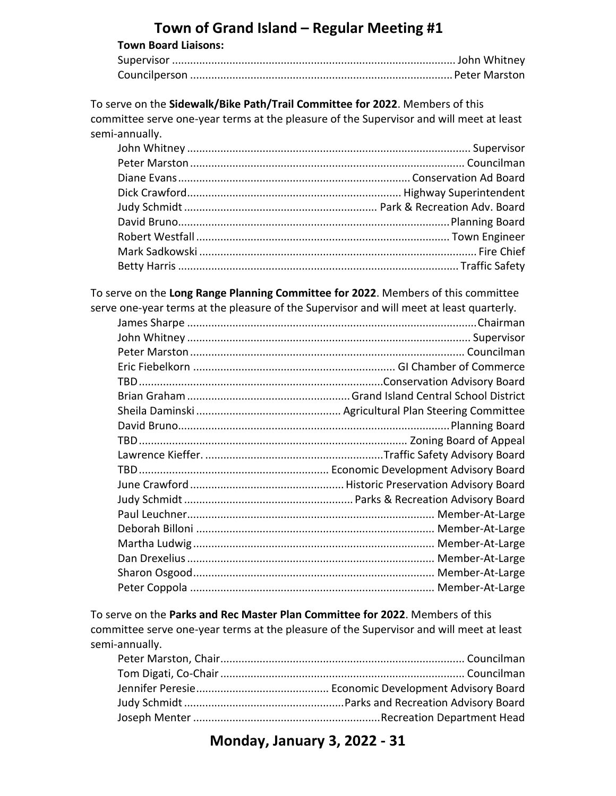| <b>Town Board Liaisons:</b> |  |
|-----------------------------|--|
|                             |  |
|                             |  |

To serve on the **Sidewalk/Bike Path/Trail Committee for 2022**. Members of this committee serve one-year terms at the pleasure of the Supervisor and will meet at least semi-annually.

To serve on the **Long Range Planning Committee for 2022**. Members of this committee serve one-year terms at the pleasure of the Supervisor and will meet at least quarterly.

To serve on the **Parks and Rec Master Plan Committee for 2022**. Members of this committee serve one-year terms at the pleasure of the Supervisor and will meet at least semi-annually.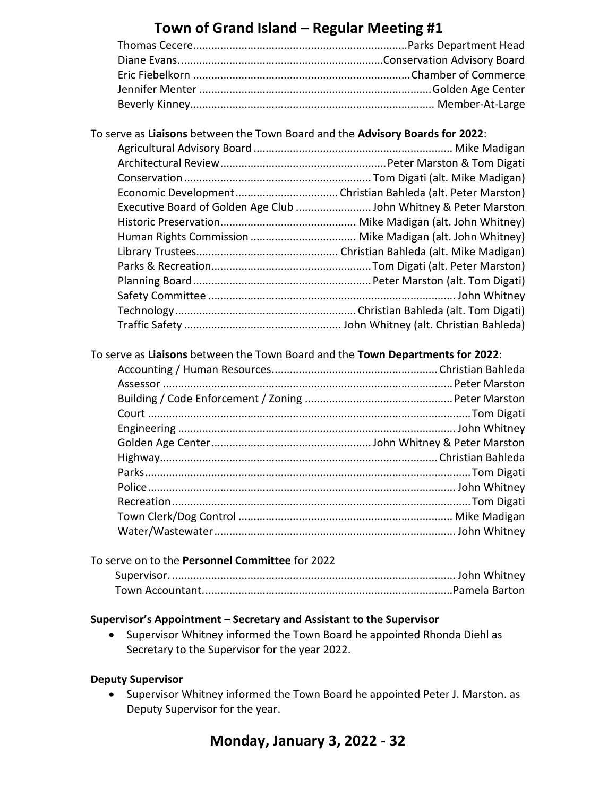#### To serve as **Liaisons** between the Town Board and the **Advisory Boards for 2022**:

To serve as **Liaisons** between the Town Board and the **Town Departments for 2022**:

| To serve on to the Personnel Committee for 2022 |  |
|-------------------------------------------------|--|
|                                                 |  |
|                                                 |  |

#### **Supervisor's Appointment – Secretary and Assistant to the Supervisor**

• Supervisor Whitney informed the Town Board he appointed Rhonda Diehl as Secretary to the Supervisor for the year 2022.

#### **Deputy Supervisor**

• Supervisor Whitney informed the Town Board he appointed Peter J. Marston. as Deputy Supervisor for the year.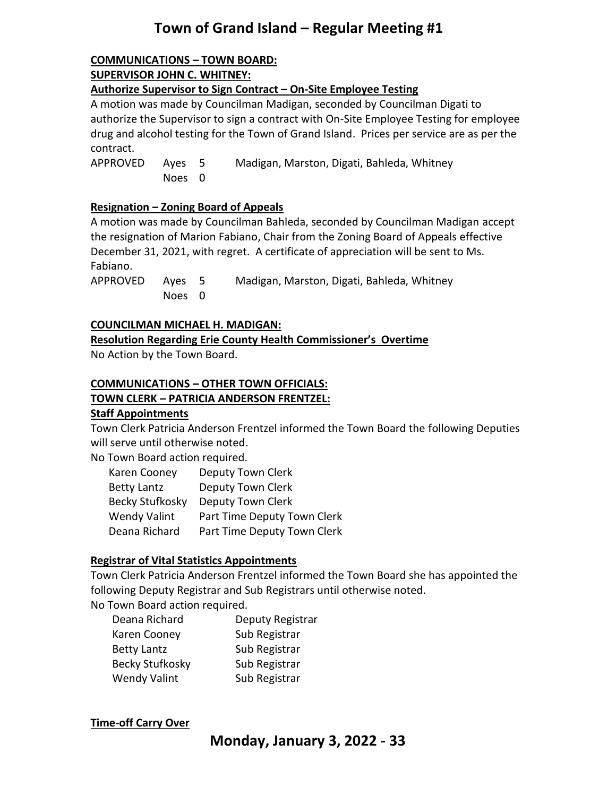#### **COMMUNICATIONS – TOWN BOARD: SUPERVISOR JOHN C. WHITNEY:**

**Authorize Supervisor to Sign Contract – On-Site Employee Testing** 

A motion was made by Councilman Madigan, seconded by Councilman Digati to authorize the Supervisor to sign a contract with On-Site Employee Testing for employee drug and alcohol testing for the Town of Grand Island. Prices per service are as per the contract.

APPROVED Ayes 5 Madigan, Marston, Digati, Bahleda, Whitney Noes 0

#### **Resignation – Zoning Board of Appeals**

A motion was made by Councilman Bahleda, seconded by Councilman Madigan accept the resignation of Marion Fabiano, Chair from the Zoning Board of Appeals effective December 31, 2021, with regret. A certificate of appreciation will be sent to Ms. Fabiano.

APPROVED Ayes 5 Madigan, Marston, Digati, Bahleda, Whitney Noes 0

#### **COUNCILMAN MICHAEL H. MADIGAN:**

#### **Resolution Regarding Erie County Health Commissioner's Overtime**

No Action by the Town Board.

### **COMMUNICATIONS – OTHER TOWN OFFICIALS:**

#### **TOWN CLERK – PATRICIA ANDERSON FRENTZEL:**

#### **Staff Appointments**

Town Clerk Patricia Anderson Frentzel informed the Town Board the following Deputies will serve until otherwise noted.

No Town Board action required.

| Karen Cooney        | Deputy Town Clerk           |
|---------------------|-----------------------------|
| <b>Betty Lantz</b>  | Deputy Town Clerk           |
| Becky Stufkosky     | Deputy Town Clerk           |
| <b>Wendy Valint</b> | Part Time Deputy Town Clerk |
| Deana Richard       | Part Time Deputy Town Clerk |

#### **Registrar of Vital Statistics Appointments**

Town Clerk Patricia Anderson Frentzel informed the Town Board she has appointed the following Deputy Registrar and Sub Registrars until otherwise noted. No Town Board action required.

| Deana Richard          | Deputy Registrar |
|------------------------|------------------|
| Karen Cooney           | Sub Registrar    |
| <b>Betty Lantz</b>     | Sub Registrar    |
| <b>Becky Stufkosky</b> | Sub Registrar    |
| <b>Wendy Valint</b>    | Sub Registrar    |

#### **Time-off Carry Over**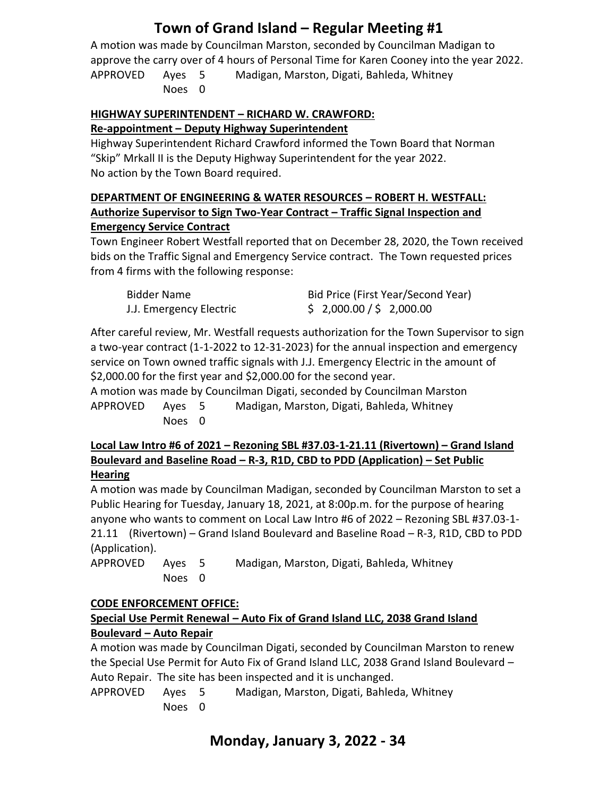A motion was made by Councilman Marston, seconded by Councilman Madigan to approve the carry over of 4 hours of Personal Time for Karen Cooney into the year 2022. APPROVED Ayes 5 Madigan, Marston, Digati, Bahleda, Whitney Noes 0

### **HIGHWAY SUPERINTENDENT – RICHARD W. CRAWFORD:**

#### **Re-appointment – Deputy Highway Superintendent**

Highway Superintendent Richard Crawford informed the Town Board that Norman "Skip" Mrkall II is the Deputy Highway Superintendent for the year 2022. No action by the Town Board required.

#### **DEPARTMENT OF ENGINEERING & WATER RESOURCES – ROBERT H. WESTFALL: Authorize Supervisor to Sign Two-Year Contract – Traffic Signal Inspection and Emergency Service Contract**

Town Engineer Robert Westfall reported that on December 28, 2020, the Town received bids on the Traffic Signal and Emergency Service contract. The Town requested prices from 4 firms with the following response:

| <b>Bidder Name</b>      | Bid Price (First Year/Second Year) |
|-------------------------|------------------------------------|
| J.J. Emergency Electric | \$2,000.00 / \$2,000.00            |

After careful review, Mr. Westfall requests authorization for the Town Supervisor to sign a two-year contract (1-1-2022 to 12-31-2023) for the annual inspection and emergency service on Town owned traffic signals with J.J. Emergency Electric in the amount of \$2,000.00 for the first year and \$2,000.00 for the second year.

A motion was made by Councilman Digati, seconded by Councilman Marston APPROVED Ayes 5 Madigan, Marston, Digati, Bahleda, Whitney Noes 0

#### **Local Law Intro #6 of 2021 – Rezoning SBL #37.03-1-21.11 (Rivertown) – Grand Island Boulevard and Baseline Road – R-3, R1D, CBD to PDD (Application) – Set Public Hearing**

A motion was made by Councilman Madigan, seconded by Councilman Marston to set a Public Hearing for Tuesday, January 18, 2021, at 8:00p.m. for the purpose of hearing anyone who wants to comment on Local Law Intro #6 of 2022 – Rezoning SBL #37.03-1- 21.11 (Rivertown) – Grand Island Boulevard and Baseline Road – R-3, R1D, CBD to PDD (Application).

APPROVED Ayes 5 Madigan, Marston, Digati, Bahleda, Whitney Noes 0

### **CODE ENFORCEMENT OFFICE:**

### **Special Use Permit Renewal – Auto Fix of Grand Island LLC, 2038 Grand Island Boulevard – Auto Repair**

A motion was made by Councilman Digati, seconded by Councilman Marston to renew the Special Use Permit for Auto Fix of Grand Island LLC, 2038 Grand Island Boulevard – Auto Repair. The site has been inspected and it is unchanged.

APPROVED Ayes 5 Madigan, Marston, Digati, Bahleda, Whitney Noes 0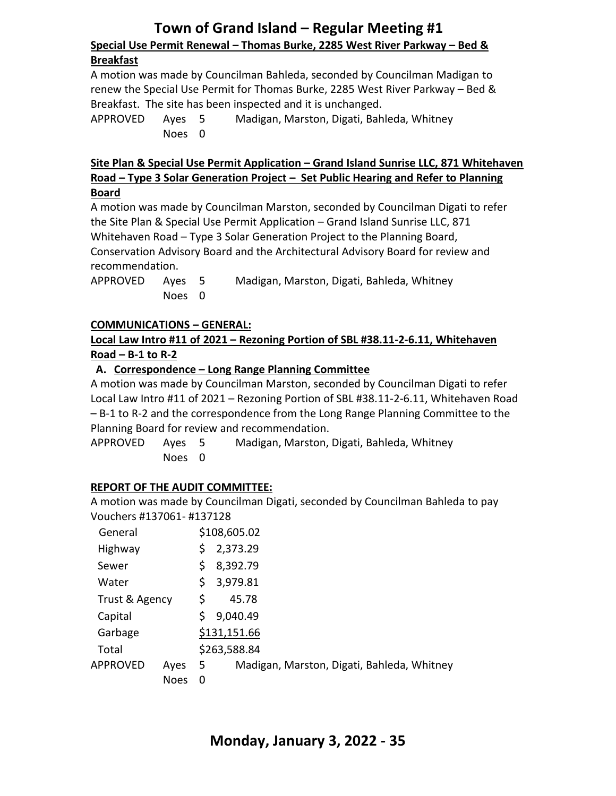# **Town of Grand Island – Regular Meeting #1 Special Use Permit Renewal – Thomas Burke, 2285 West River Parkway – Bed &**

#### **Breakfast**

A motion was made by Councilman Bahleda, seconded by Councilman Madigan to renew the Special Use Permit for Thomas Burke, 2285 West River Parkway – Bed & Breakfast. The site has been inspected and it is unchanged.

APPROVED Ayes 5 Madigan, Marston, Digati, Bahleda, Whitney Noes 0

#### **Site Plan & Special Use Permit Application – Grand Island Sunrise LLC, 871 Whitehaven Road – Type 3 Solar Generation Project – Set Public Hearing and Refer to Planning Board**

A motion was made by Councilman Marston, seconded by Councilman Digati to refer the Site Plan & Special Use Permit Application – Grand Island Sunrise LLC, 871 Whitehaven Road – Type 3 Solar Generation Project to the Planning Board, Conservation Advisory Board and the Architectural Advisory Board for review and recommendation.

APPROVED Ayes 5 Madigan, Marston, Digati, Bahleda, Whitney Noes 0

#### **COMMUNICATIONS – GENERAL:**

#### **Local Law Intro #11 of 2021 – Rezoning Portion of SBL #38.11-2-6.11, Whitehaven Road – B-1 to R-2**

#### **A. Correspondence – Long Range Planning Committee**

A motion was made by Councilman Marston, seconded by Councilman Digati to refer Local Law Intro #11 of 2021 – Rezoning Portion of SBL #38.11-2-6.11, Whitehaven Road – B-1 to R-2 and the correspondence from the Long Range Planning Committee to the Planning Board for review and recommendation.

APPROVED Ayes 5 Madigan, Marston, Digati, Bahleda, Whitney Noes 0

#### **REPORT OF THE AUDIT COMMITTEE:**

A motion was made by Councilman Digati, seconded by Councilman Bahleda to pay Vouchers #137061- #137128

| General        |             |              | \$108,605.02                               |  |
|----------------|-------------|--------------|--------------------------------------------|--|
| Highway        |             | S            | 2,373.29                                   |  |
| Sewer          |             |              | 8,392.79                                   |  |
| Water          |             | S            | 3,979.81                                   |  |
| Trust & Agency |             | \$           | 45.78                                      |  |
| Capital        |             | Ś            | 9,040.49                                   |  |
| Garbage        |             |              | \$131,151.66                               |  |
| Total          |             | \$263,588.84 |                                            |  |
| APPROVED       | Ayes        | -5           | Madigan, Marston, Digati, Bahleda, Whitney |  |
|                | <b>Noes</b> | 0            |                                            |  |